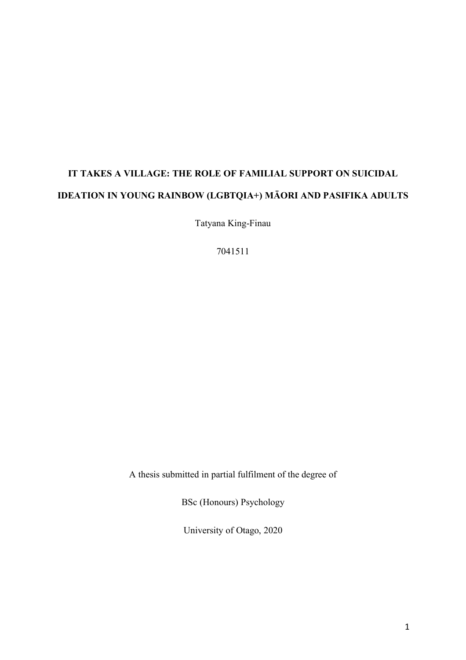# **IT TAKES A VILLAGE: THE ROLE OF FAMILIAL SUPPORT ON SUICIDAL IDEATION IN YOUNG RAINBOW (LGBTQIA+) MĀORI AND PASIFIKA ADULTS**

Tatyana King-Finau

7041511

A thesis submitted in partial fulfilment of the degree of

BSc (Honours) Psychology

University of Otago, 2020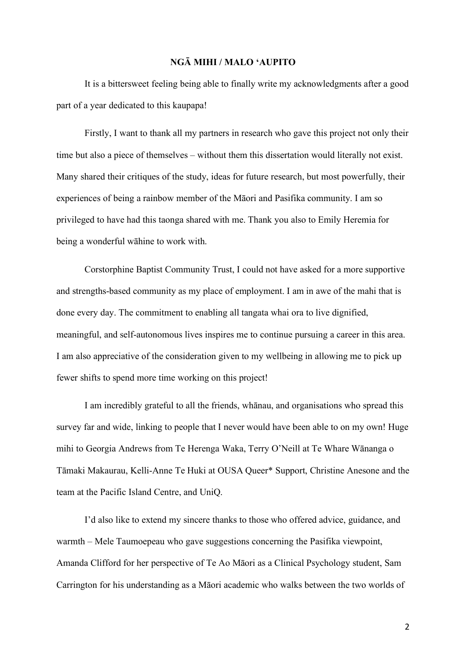#### **NGĀ MIHI / MALO 'AUPITO**

It is a bittersweet feeling being able to finally write my acknowledgments after a good part of a year dedicated to this kaupapa!

Firstly, I want to thank all my partners in research who gave this project not only their time but also a piece of themselves – without them this dissertation would literally not exist. Many shared their critiques of the study, ideas for future research, but most powerfully, their experiences of being a rainbow member of the Māori and Pasifika community. I am so privileged to have had this taonga shared with me. Thank you also to Emily Heremia for being a wonderful wāhine to work with.

Corstorphine Baptist Community Trust, I could not have asked for a more supportive and strengths-based community as my place of employment. I am in awe of the mahi that is done every day. The commitment to enabling all tangata whai ora to live dignified, meaningful, and self-autonomous lives inspires me to continue pursuing a career in this area. I am also appreciative of the consideration given to my wellbeing in allowing me to pick up fewer shifts to spend more time working on this project!

I am incredibly grateful to all the friends, whānau, and organisations who spread this survey far and wide, linking to people that I never would have been able to on my own! Huge mihi to Georgia Andrews from Te Herenga Waka, Terry O'Neill at Te Whare Wānanga o Tāmaki Makaurau, Kelli-Anne Te Huki at OUSA Queer\* Support, Christine Anesone and the team at the Pacific Island Centre, and UniQ.

I'd also like to extend my sincere thanks to those who offered advice, guidance, and warmth – Mele Taumoepeau who gave suggestions concerning the Pasifika viewpoint, Amanda Clifford for her perspective of Te Ao Māori as a Clinical Psychology student, Sam Carrington for his understanding as a Māori academic who walks between the two worlds of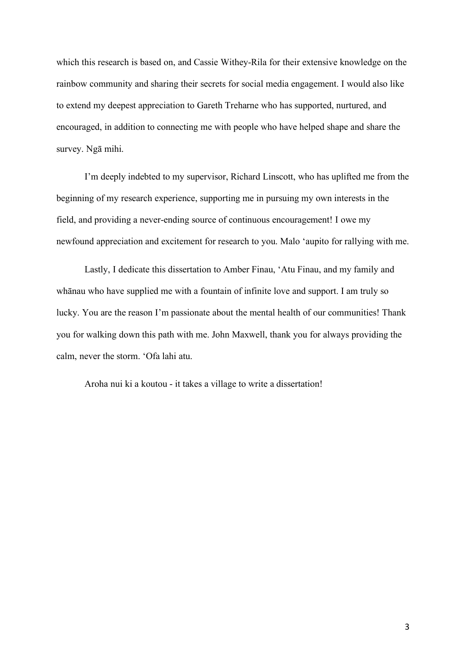which this research is based on, and Cassie Withey-Rila for their extensive knowledge on the rainbow community and sharing their secrets for social media engagement. I would also like to extend my deepest appreciation to Gareth Treharne who has supported, nurtured, and encouraged, in addition to connecting me with people who have helped shape and share the survey. Ngā mihi.

I'm deeply indebted to my supervisor, Richard Linscott, who has uplifted me from the beginning of my research experience, supporting me in pursuing my own interests in the field, and providing a never-ending source of continuous encouragement! I owe my newfound appreciation and excitement for research to you. Malo 'aupito for rallying with me.

Lastly, I dedicate this dissertation to Amber Finau, 'Atu Finau, and my family and whānau who have supplied me with a fountain of infinite love and support. I am truly so lucky. You are the reason I'm passionate about the mental health of our communities! Thank you for walking down this path with me. John Maxwell, thank you for always providing the calm, never the storm. 'Ofa lahi atu.

Aroha nui ki a koutou - it takes a village to write a dissertation!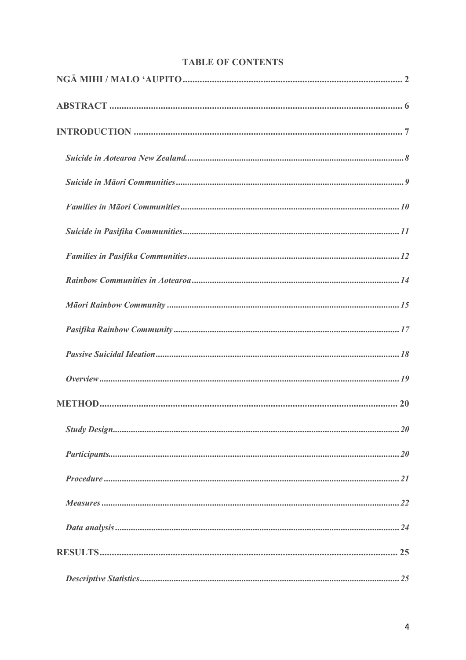| <b>TABLE OF CONTENTS</b> |  |
|--------------------------|--|
|--------------------------|--|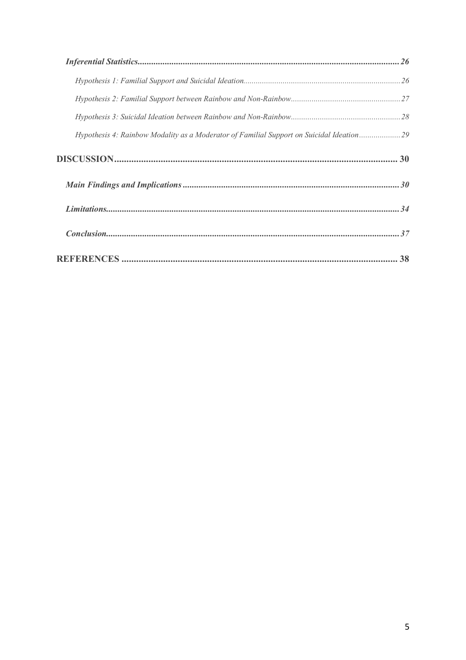| Hypothesis 4: Rainbow Modality as a Moderator of Familial Support on Suicidal Ideation29 |  |
|------------------------------------------------------------------------------------------|--|
|                                                                                          |  |
|                                                                                          |  |
|                                                                                          |  |
|                                                                                          |  |
|                                                                                          |  |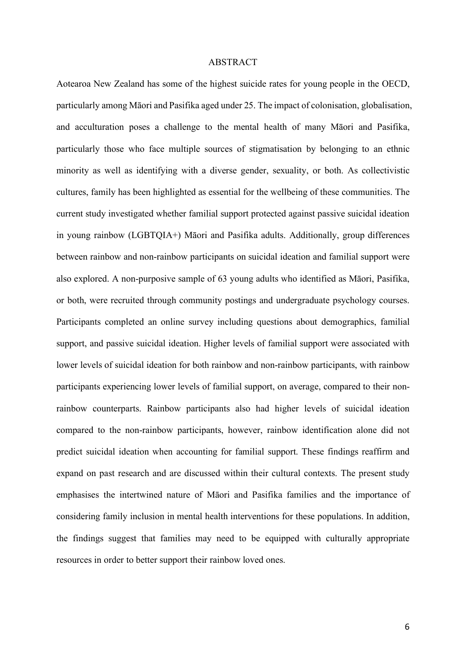#### ABSTRACT

Aotearoa New Zealand has some of the highest suicide rates for young people in the OECD, particularly among Māori and Pasifika aged under 25. The impact of colonisation, globalisation, and acculturation poses a challenge to the mental health of many Māori and Pasifika, particularly those who face multiple sources of stigmatisation by belonging to an ethnic minority as well as identifying with a diverse gender, sexuality, or both. As collectivistic cultures, family has been highlighted as essential for the wellbeing of these communities. The current study investigated whether familial support protected against passive suicidal ideation in young rainbow (LGBTQIA+) Māori and Pasifika adults. Additionally, group differences between rainbow and non-rainbow participants on suicidal ideation and familial support were also explored. A non-purposive sample of 63 young adults who identified as Māori, Pasifika, or both, were recruited through community postings and undergraduate psychology courses. Participants completed an online survey including questions about demographics, familial support, and passive suicidal ideation. Higher levels of familial support were associated with lower levels of suicidal ideation for both rainbow and non-rainbow participants, with rainbow participants experiencing lower levels of familial support, on average, compared to their nonrainbow counterparts. Rainbow participants also had higher levels of suicidal ideation compared to the non-rainbow participants, however, rainbow identification alone did not predict suicidal ideation when accounting for familial support. These findings reaffirm and expand on past research and are discussed within their cultural contexts. The present study emphasises the intertwined nature of Māori and Pasifika families and the importance of considering family inclusion in mental health interventions for these populations. In addition, the findings suggest that families may need to be equipped with culturally appropriate resources in order to better support their rainbow loved ones.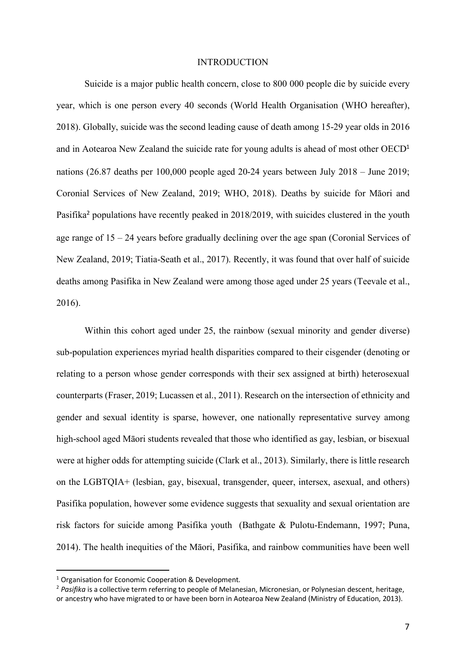#### INTRODUCTION

Suicide is a major public health concern, close to 800 000 people die by suicide every year, which is one person every 40 seconds (World Health Organisation (WHO hereafter), 2018). Globally, suicide was the second leading cause of death among 15-29 year olds in 2016 and in Aotearoa New Zealand the suicide rate for young adults is ahead of most other OECD<sup>1</sup> nations (26.87 deaths per 100,000 people aged 20-24 years between July 2018 – June 2019; Coronial Services of New Zealand, 2019; WHO, 2018). Deaths by suicide for Māori and Pasifika<sup>2</sup> populations have recently peaked in 2018/2019, with suicides clustered in the youth age range of 15 – 24 years before gradually declining over the age span (Coronial Services of New Zealand, 2019; Tiatia-Seath et al., 2017). Recently, it was found that over half of suicide deaths among Pasifika in New Zealand were among those aged under 25 years (Teevale et al., 2016).

Within this cohort aged under 25, the rainbow (sexual minority and gender diverse) sub-population experiences myriad health disparities compared to their cisgender (denoting or relating to a person whose gender corresponds with their sex assigned at birth) heterosexual counterparts (Fraser, 2019; Lucassen et al., 2011). Research on the intersection of ethnicity and gender and sexual identity is sparse, however, one nationally representative survey among high-school aged Māori students revealed that those who identified as gay, lesbian, or bisexual were at higher odds for attempting suicide (Clark et al., 2013). Similarly, there is little research on the LGBTQIA+ (lesbian, gay, bisexual, transgender, queer, intersex, asexual, and others) Pasifika population, however some evidence suggests that sexuality and sexual orientation are risk factors for suicide among Pasifika youth (Bathgate & Pulotu-Endemann, 1997; Puna, 2014). The health inequities of the Māori, Pasifika, and rainbow communities have been well

<sup>&</sup>lt;sup>1</sup> Organisation for Economic Cooperation & Development.

<sup>&</sup>lt;sup>2</sup> Pasifika is a collective term referring to people of Melanesian, Micronesian, or Polynesian descent, heritage, or ancestry who have migrated to or have been born in Aotearoa New Zealand (Ministry of Education, 2013).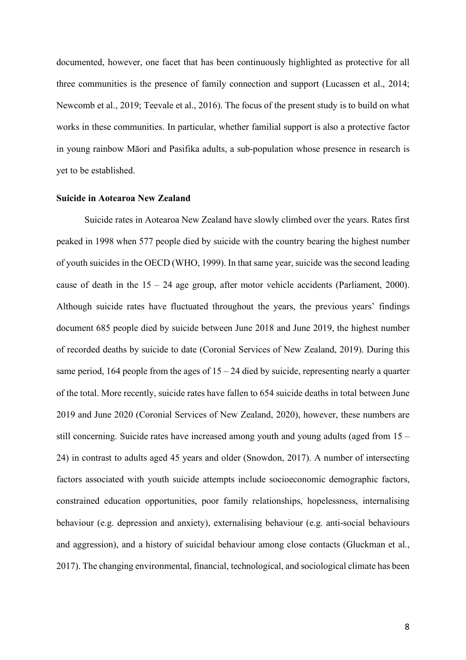documented, however, one facet that has been continuously highlighted as protective for all three communities is the presence of family connection and support (Lucassen et al., 2014; Newcomb et al., 2019; Teevale et al., 2016). The focus of the present study is to build on what works in these communities. In particular, whether familial support is also a protective factor in young rainbow Māori and Pasifika adults, a sub-population whose presence in research is yet to be established.

#### **Suicide in Aotearoa New Zealand**

Suicide rates in Aotearoa New Zealand have slowly climbed over the years. Rates first peaked in 1998 when 577 people died by suicide with the country bearing the highest number of youth suicides in the OECD (WHO, 1999). In that same year, suicide was the second leading cause of death in the  $15 - 24$  age group, after motor vehicle accidents (Parliament, 2000). Although suicide rates have fluctuated throughout the years, the previous years' findings document 685 people died by suicide between June 2018 and June 2019, the highest number of recorded deaths by suicide to date (Coronial Services of New Zealand, 2019). During this same period, 164 people from the ages of  $15 - 24$  died by suicide, representing nearly a quarter of the total. More recently, suicide rates have fallen to 654 suicide deaths in total between June 2019 and June 2020 (Coronial Services of New Zealand, 2020), however, these numbers are still concerning. Suicide rates have increased among youth and young adults (aged from 15 – 24) in contrast to adults aged 45 years and older (Snowdon, 2017). A number of intersecting factors associated with youth suicide attempts include socioeconomic demographic factors, constrained education opportunities, poor family relationships, hopelessness, internalising behaviour (e.g. depression and anxiety), externalising behaviour (e.g. anti-social behaviours and aggression), and a history of suicidal behaviour among close contacts (Gluckman et al., 2017). The changing environmental, financial, technological, and sociological climate has been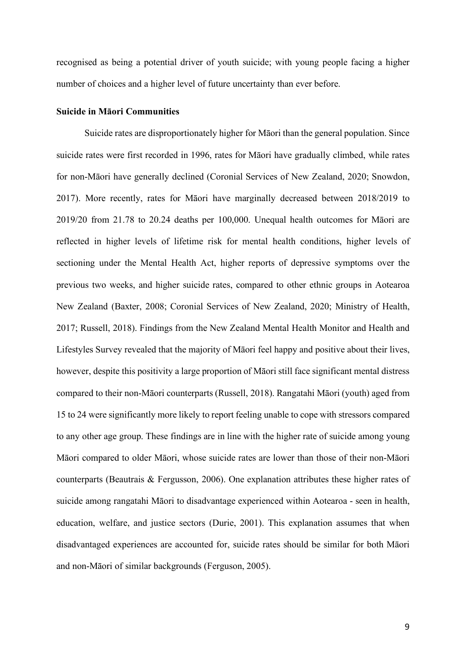recognised as being a potential driver of youth suicide; with young people facing a higher number of choices and a higher level of future uncertainty than ever before.

## **Suicide in Māori Communities**

Suicide rates are disproportionately higher for Māori than the general population. Since suicide rates were first recorded in 1996, rates for Māori have gradually climbed, while rates for non-Māori have generally declined (Coronial Services of New Zealand, 2020; Snowdon, 2017). More recently, rates for Māori have marginally decreased between 2018/2019 to 2019/20 from 21.78 to 20.24 deaths per 100,000. Unequal health outcomes for Māori are reflected in higher levels of lifetime risk for mental health conditions, higher levels of sectioning under the Mental Health Act, higher reports of depressive symptoms over the previous two weeks, and higher suicide rates, compared to other ethnic groups in Aotearoa New Zealand (Baxter, 2008; Coronial Services of New Zealand, 2020; Ministry of Health, 2017; Russell, 2018). Findings from the New Zealand Mental Health Monitor and Health and Lifestyles Survey revealed that the majority of Māori feel happy and positive about their lives, however, despite this positivity a large proportion of Māori still face significant mental distress compared to their non-Māori counterparts (Russell, 2018). Rangatahi Māori (youth) aged from 15 to 24 were significantly more likely to report feeling unable to cope with stressors compared to any other age group. These findings are in line with the higher rate of suicide among young Māori compared to older Māori, whose suicide rates are lower than those of their non-Māori counterparts (Beautrais & Fergusson, 2006). One explanation attributes these higher rates of suicide among rangatahi Māori to disadvantage experienced within Aotearoa - seen in health, education, welfare, and justice sectors (Durie, 2001). This explanation assumes that when disadvantaged experiences are accounted for, suicide rates should be similar for both Māori and non-Māori of similar backgrounds (Ferguson, 2005).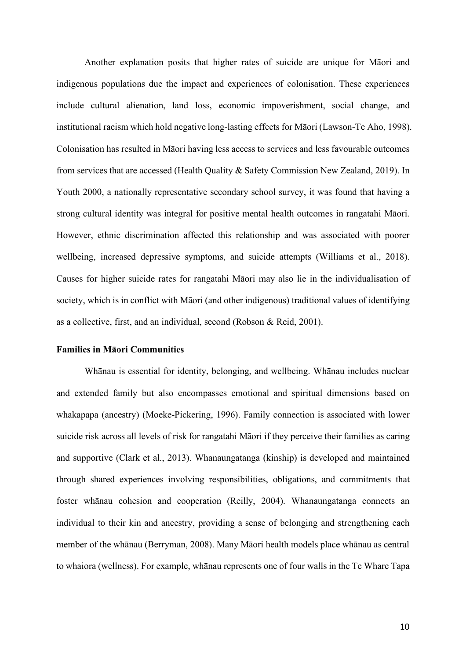Another explanation posits that higher rates of suicide are unique for Māori and indigenous populations due the impact and experiences of colonisation. These experiences include cultural alienation, land loss, economic impoverishment, social change, and institutional racism which hold negative long-lasting effects for Māori (Lawson-Te Aho, 1998). Colonisation has resulted in Māori having less access to services and less favourable outcomes from services that are accessed (Health Quality & Safety Commission New Zealand, 2019). In Youth 2000, a nationally representative secondary school survey, it was found that having a strong cultural identity was integral for positive mental health outcomes in rangatahi Māori. However, ethnic discrimination affected this relationship and was associated with poorer wellbeing, increased depressive symptoms, and suicide attempts (Williams et al., 2018). Causes for higher suicide rates for rangatahi Māori may also lie in the individualisation of society, which is in conflict with Māori (and other indigenous) traditional values of identifying as a collective, first, and an individual, second (Robson & Reid, 2001).

## **Families in Māori Communities**

Whānau is essential for identity, belonging, and wellbeing. Whānau includes nuclear and extended family but also encompasses emotional and spiritual dimensions based on whakapapa (ancestry) (Moeke-Pickering, 1996). Family connection is associated with lower suicide risk across all levels of risk for rangatahi Māori if they perceive their families as caring and supportive (Clark et al., 2013). Whanaungatanga (kinship) is developed and maintained through shared experiences involving responsibilities, obligations, and commitments that foster whānau cohesion and cooperation (Reilly, 2004). Whanaungatanga connects an individual to their kin and ancestry, providing a sense of belonging and strengthening each member of the whānau (Berryman, 2008). Many Māori health models place whānau as central to whaiora (wellness). For example, whānau represents one of four walls in the Te Whare Tapa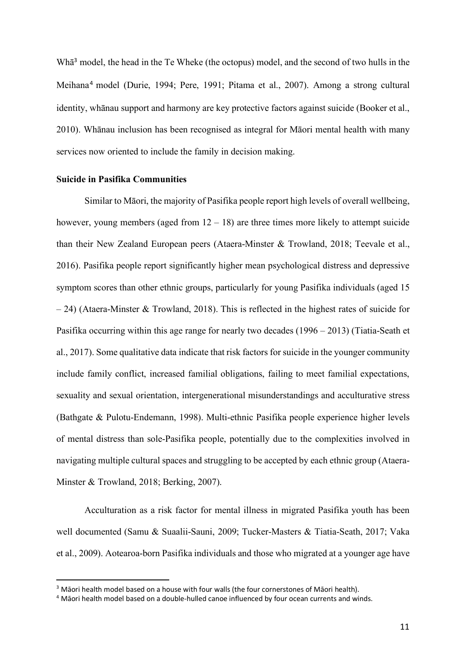Wh $\bar{a}^3$  model, the head in the Te Wheke (the octopus) model, and the second of two hulls in the Meihana<sup>4</sup> model (Durie, 1994; Pere, 1991; Pitama et al., 2007). Among a strong cultural identity, whānau support and harmony are key protective factors against suicide (Booker et al., 2010). Whānau inclusion has been recognised as integral for Māori mental health with many services now oriented to include the family in decision making.

## **Suicide in Pasifika Communities**

Similar to Māori, the majority of Pasifika people report high levels of overall wellbeing, however, young members (aged from  $12 - 18$ ) are three times more likely to attempt suicide than their New Zealand European peers (Ataera-Minster & Trowland, 2018; Teevale et al., 2016). Pasifika people report significantly higher mean psychological distress and depressive symptom scores than other ethnic groups, particularly for young Pasifika individuals (aged 15 – 24) (Ataera-Minster & Trowland, 2018). This is reflected in the highest rates of suicide for Pasifika occurring within this age range for nearly two decades (1996 – 2013) (Tiatia-Seath et al., 2017). Some qualitative data indicate that risk factors for suicide in the younger community include family conflict, increased familial obligations, failing to meet familial expectations, sexuality and sexual orientation, intergenerational misunderstandings and acculturative stress (Bathgate & Pulotu-Endemann, 1998). Multi-ethnic Pasifika people experience higher levels of mental distress than sole-Pasifika people, potentially due to the complexities involved in navigating multiple cultural spaces and struggling to be accepted by each ethnic group (Ataera-Minster & Trowland, 2018; Berking, 2007).

Acculturation as a risk factor for mental illness in migrated Pasifika youth has been well documented (Samu & Suaalii-Sauni, 2009; Tucker-Masters & Tiatia-Seath, 2017; Vaka et al., 2009). Aotearoa-born Pasifika individuals and those who migrated at a younger age have

<sup>&</sup>lt;sup>3</sup> Māori health model based on a house with four walls (the four cornerstones of Māori health).

<sup>4</sup> Māori health model based on a double-hulled canoe influenced by four ocean currents and winds.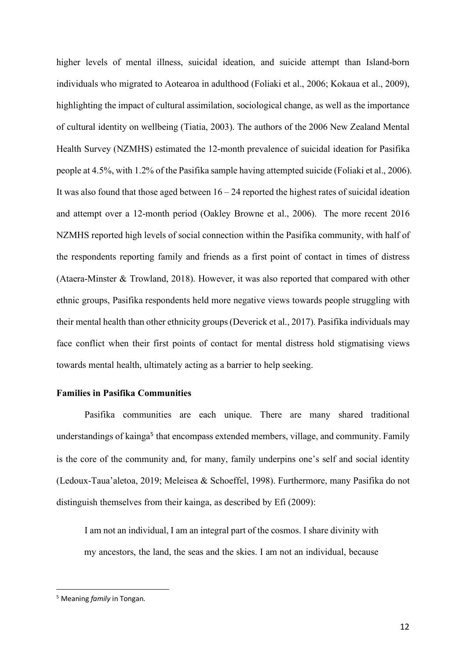higher levels of mental illness, suicidal ideation, and suicide attempt than Island-born individuals who migrated to Aotearoa in adulthood (Foliaki et al., 2006; Kokaua et al., 2009), highlighting the impact of cultural assimilation, sociological change, as well as the importance of cultural identity on wellbeing (Tiatia, 2003). The authors of the 2006 New Zealand Mental Health Survey (NZMHS) estimated the 12-month prevalence of suicidal ideation for Pasifika people at 4.5%, with 1.2% of the Pasifika sample having attempted suicide (Foliaki et al., 2006). It was also found that those aged between  $16 - 24$  reported the highest rates of suicidal ideation and attempt over a 12-month period (Oakley Browne et al., 2006). The more recent 2016 NZMHS reported high levels of social connection within the Pasifika community, with half of the respondents reporting family and friends as a first point of contact in times of distress (Ataera-Minster & Trowland, 2018). However, it was also reported that compared with other ethnic groups, Pasifika respondents held more negative views towards people struggling with their mental health than other ethnicity groups (Deverick et al., 2017). Pasifika individuals may face conflict when their first points of contact for mental distress hold stigmatising views towards mental health, ultimately acting as a barrier to help seeking.

## **Families in Pasifika Communities**

Pasifika communities are each unique. There are many shared traditional understandings of kainga<sup>5</sup> that encompass extended members, village, and community. Family is the core of the community and, for many, family underpins one's self and social identity (Ledoux-Taua'aletoa, 2019; Meleisea & Schoeffel, 1998). Furthermore, many Pasifika do not distinguish themselves from their kainga, as described by Efi (2009):

I am not an individual, I am an integral part of the cosmos. I share divinity with my ancestors, the land, the seas and the skies. I am not an individual, because

 <sup>5</sup> Meaning *family* in Tongan.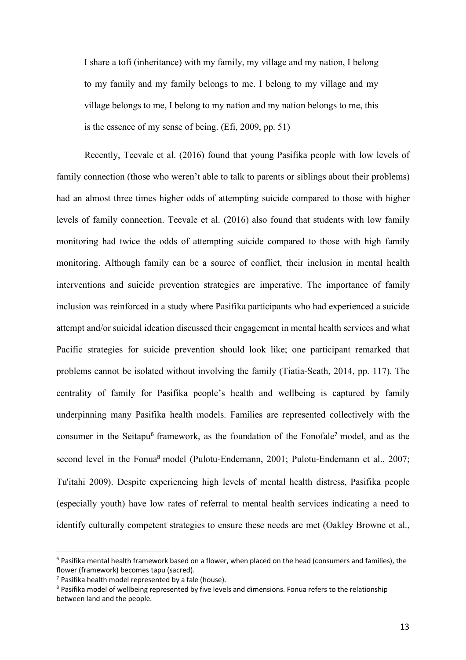I share a tofi (inheritance) with my family, my village and my nation, I belong to my family and my family belongs to me. I belong to my village and my village belongs to me, I belong to my nation and my nation belongs to me, this is the essence of my sense of being. (Efi, 2009, pp. 51)

Recently, Teevale et al. (2016) found that young Pasifika people with low levels of family connection (those who weren't able to talk to parents or siblings about their problems) had an almost three times higher odds of attempting suicide compared to those with higher levels of family connection. Teevale et al. (2016) also found that students with low family monitoring had twice the odds of attempting suicide compared to those with high family monitoring. Although family can be a source of conflict, their inclusion in mental health interventions and suicide prevention strategies are imperative. The importance of family inclusion was reinforced in a study where Pasifika participants who had experienced a suicide attempt and/or suicidal ideation discussed their engagement in mental health services and what Pacific strategies for suicide prevention should look like; one participant remarked that problems cannot be isolated without involving the family (Tiatia-Seath, 2014, pp. 117). The centrality of family for Pasifika people's health and wellbeing is captured by family underpinning many Pasifika health models. Families are represented collectively with the consumer in the Seitapu<sup>6</sup> framework, as the foundation of the Fonofale<sup>7</sup> model, and as the second level in the Fonua<sup>8</sup> model (Pulotu-Endemann, 2001; Pulotu-Endemann et al., 2007; Tu'itahi 2009). Despite experiencing high levels of mental health distress, Pasifika people (especially youth) have low rates of referral to mental health services indicating a need to identify culturally competent strategies to ensure these needs are met (Oakley Browne et al.,

 $6$  Pasifika mental health framework based on a flower, when placed on the head (consumers and families), the flower (framework) becomes tapu (sacred).

 $7$  Pasifika health model represented by a fale (house).

<sup>&</sup>lt;sup>8</sup> Pasifika model of wellbeing represented by five levels and dimensions. Fonua refers to the relationship between land and the people.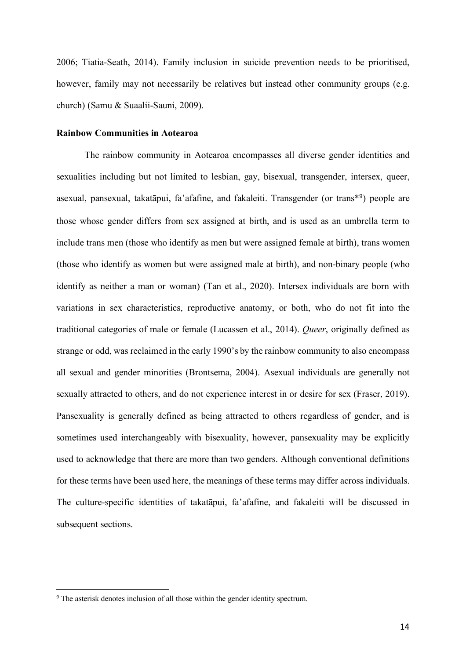2006; Tiatia-Seath, 2014). Family inclusion in suicide prevention needs to be prioritised, however, family may not necessarily be relatives but instead other community groups (e.g. church) (Samu & Suaalii-Sauni, 2009).

## **Rainbow Communities in Aotearoa**

The rainbow community in Aotearoa encompasses all diverse gender identities and sexualities including but not limited to lesbian, gay, bisexual, transgender, intersex, queer, asexual, pansexual, takatāpui, fa'afafine, and fakaleiti. Transgender (or trans\*<sup>9</sup>) people are those whose gender differs from sex assigned at birth, and is used as an umbrella term to include trans men (those who identify as men but were assigned female at birth), trans women (those who identify as women but were assigned male at birth), and non-binary people (who identify as neither a man or woman) (Tan et al., 2020). Intersex individuals are born with variations in sex characteristics, reproductive anatomy, or both, who do not fit into the traditional categories of male or female (Lucassen et al., 2014). *Queer*, originally defined as strange or odd, was reclaimed in the early 1990's by the rainbow community to also encompass all sexual and gender minorities (Brontsema, 2004). Asexual individuals are generally not sexually attracted to others, and do not experience interest in or desire for sex (Fraser, 2019). Pansexuality is generally defined as being attracted to others regardless of gender, and is sometimes used interchangeably with bisexuality, however, pansexuality may be explicitly used to acknowledge that there are more than two genders. Although conventional definitions for these terms have been used here, the meanings of these terms may differ across individuals. The culture-specific identities of takatāpui, fa'afafine, and fakaleiti will be discussed in subsequent sections.

<sup>&</sup>lt;sup>9</sup> The asterisk denotes inclusion of all those within the gender identity spectrum.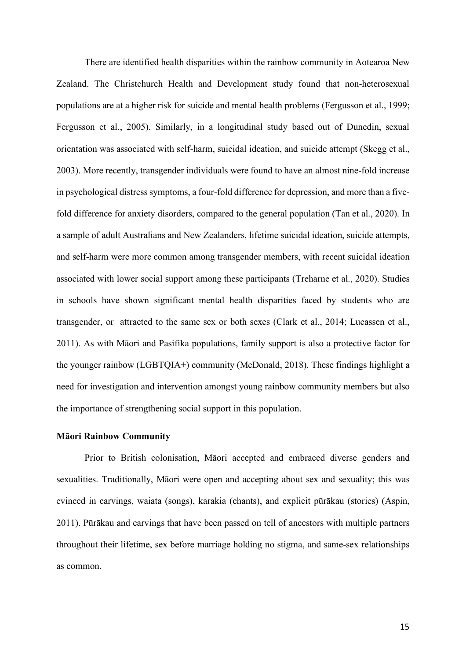There are identified health disparities within the rainbow community in Aotearoa New Zealand. The Christchurch Health and Development study found that non-heterosexual populations are at a higher risk for suicide and mental health problems (Fergusson et al., 1999; Fergusson et al., 2005). Similarly, in a longitudinal study based out of Dunedin, sexual orientation was associated with self-harm, suicidal ideation, and suicide attempt (Skegg et al., 2003). More recently, transgender individuals were found to have an almost nine-fold increase in psychological distress symptoms, a four-fold difference for depression, and more than a fivefold difference for anxiety disorders, compared to the general population (Tan et al., 2020). In a sample of adult Australians and New Zealanders, lifetime suicidal ideation, suicide attempts, and self-harm were more common among transgender members, with recent suicidal ideation associated with lower social support among these participants (Treharne et al., 2020). Studies in schools have shown significant mental health disparities faced by students who are transgender, or attracted to the same sex or both sexes (Clark et al., 2014; Lucassen et al., 2011). As with Māori and Pasifika populations, family support is also a protective factor for the younger rainbow (LGBTQIA+) community (McDonald, 2018). These findings highlight a need for investigation and intervention amongst young rainbow community members but also the importance of strengthening social support in this population.

#### **Māori Rainbow Community**

Prior to British colonisation, Māori accepted and embraced diverse genders and sexualities. Traditionally, Māori were open and accepting about sex and sexuality; this was evinced in carvings, waiata (songs), karakia (chants), and explicit pūrākau (stories) (Aspin, 2011). Pūrākau and carvings that have been passed on tell of ancestors with multiple partners throughout their lifetime, sex before marriage holding no stigma, and same-sex relationships as common.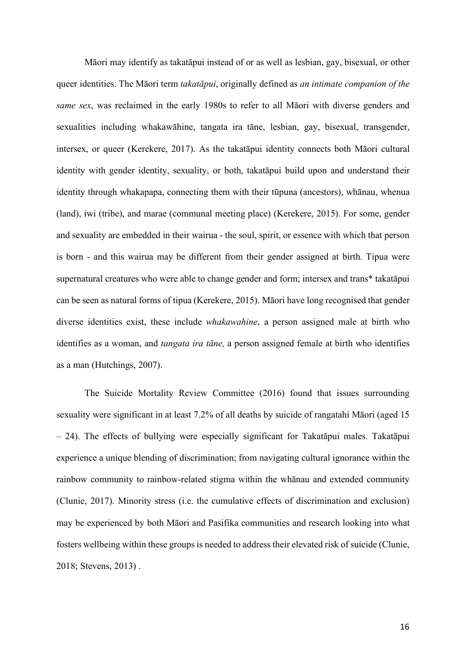Māori may identify as takatāpui instead of or as well as lesbian, gay, bisexual, or other queer identities. The Māori term *takatāpui*, originally defined as *an intimate companion of the same sex*, was reclaimed in the early 1980s to refer to all Māori with diverse genders and sexualities including whakawāhine, tangata ira tāne, lesbian, gay, bisexual, transgender, intersex, or queer (Kerekere, 2017). As the takatāpui identity connects both Māori cultural identity with gender identity, sexuality, or both, takatāpui build upon and understand their identity through whakapapa, connecting them with their tūpuna (ancestors), whānau, whenua (land), iwi (tribe), and marae (communal meeting place) (Kerekere, 2015). For some, gender and sexuality are embedded in their wairua - the soul, spirit, or essence with which that person is born - and this wairua may be different from their gender assigned at birth. Tipua were supernatural creatures who were able to change gender and form; intersex and trans\* takatāpui can be seen as natural forms of tipua (Kerekere, 2015). Māori have long recognised that gender diverse identities exist, these include *whakawahine*, a person assigned male at birth who identifies as a woman, and *tangata ira tāne,* a person assigned female at birth who identifies as a man (Hutchings, 2007).

The Suicide Mortality Review Committee (2016) found that issues surrounding sexuality were significant in at least 7.2% of all deaths by suicide of rangatahi Māori (aged 15 – 24). The effects of bullying were especially significant for Takatāpui males. Takatāpui experience a unique blending of discrimination; from navigating cultural ignorance within the rainbow community to rainbow-related stigma within the whānau and extended community (Clunie, 2017). Minority stress (i.e. the cumulative effects of discrimination and exclusion) may be experienced by both Māori and Pasifika communities and research looking into what fosters wellbeing within these groups is needed to address their elevated risk of suicide (Clunie, 2018; Stevens, 2013) .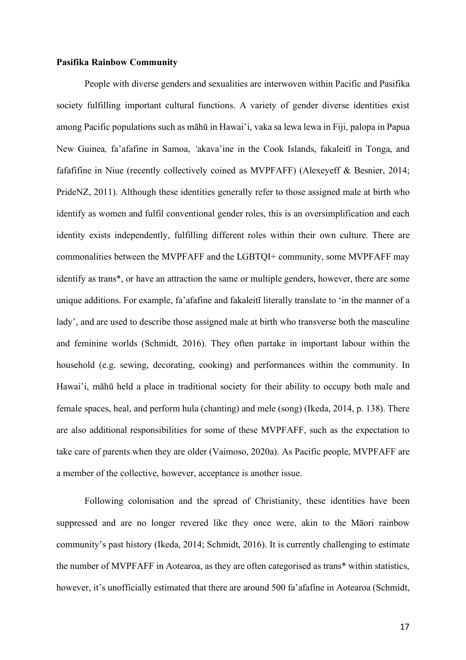## **Pasifika Rainbow Community**

People with diverse genders and sexualities are interwoven within Pacific and Pasifika society fulfilling important cultural functions. A variety of gender diverse identities exist among Pacific populations such as māhū in Hawai'i, vaka sa lewa lewa in Fiji, palopa in Papua New Guinea*,* fa'afafine in Samoa, *'*akava'ine in the Cook Islands, fakaleitī in Tonga, and fafafifine in Niue (recently collectively coined as MVPFAFF) (Alexeyeff & Besnier, 2014; PrideNZ, 2011). Although these identities generally refer to those assigned male at birth who identify as women and fulfil conventional gender roles, this is an oversimplification and each identity exists independently, fulfilling different roles within their own culture. There are commonalities between the MVPFAFF and the LGBTQI+ community, some MVPFAFF may identify as trans\*, or have an attraction the same or multiple genders, however, there are some unique additions. For example, fa'afafine and fakaleitī literally translate to 'in the manner of a lady', and are used to describe those assigned male at birth who transverse both the masculine and feminine worlds (Schmidt, 2016). They often partake in important labour within the household (e.g. sewing, decorating, cooking) and performances within the community. In Hawai'i, māhū held a place in traditional society for their ability to occupy both male and female spaces, heal, and perform hula (chanting) and mele (song) (Ikeda, 2014, p. 138). There are also additional responsibilities for some of these MVPFAFF, such as the expectation to take care of parents when they are older (Vaimoso, 2020a). As Pacific people, MVPFAFF are a member of the collective, however, acceptance is another issue.

Following colonisation and the spread of Christianity, these identities have been suppressed and are no longer revered like they once were, akin to the Māori rainbow community's past history (Ikeda, 2014; Schmidt, 2016). It is currently challenging to estimate the number of MVPFAFF in Aotearoa, as they are often categorised as trans\* within statistics, however, it's unofficially estimated that there are around 500 fa'afafine in Aotearoa (Schmidt,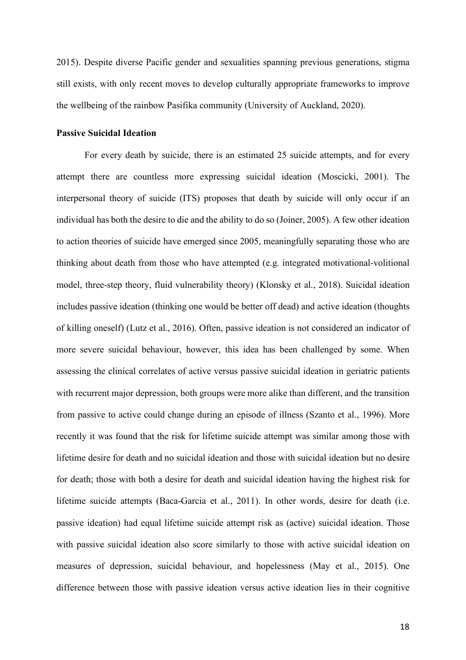2015). Despite diverse Pacific gender and sexualities spanning previous generations, stigma still exists, with only recent moves to develop culturally appropriate frameworks to improve the wellbeing of the rainbow Pasifika community (University of Auckland, 2020).

## **Passive Suicidal Ideation**

For every death by suicide, there is an estimated 25 suicide attempts, and for every attempt there are countless more expressing suicidal ideation (Moscicki, 2001). The interpersonal theory of suicide (ITS) proposes that death by suicide will only occur if an individual has both the desire to die and the ability to do so (Joiner, 2005). A few other ideation to action theories of suicide have emerged since 2005, meaningfully separating those who are thinking about death from those who have attempted (e.g. integrated motivational-volitional model, three-step theory, fluid vulnerability theory) (Klonsky et al., 2018). Suicidal ideation includes passive ideation (thinking one would be better off dead) and active ideation (thoughts of killing oneself) (Lutz et al., 2016). Often, passive ideation is not considered an indicator of more severe suicidal behaviour, however, this idea has been challenged by some. When assessing the clinical correlates of active versus passive suicidal ideation in geriatric patients with recurrent major depression, both groups were more alike than different, and the transition from passive to active could change during an episode of illness (Szanto et al., 1996). More recently it was found that the risk for lifetime suicide attempt was similar among those with lifetime desire for death and no suicidal ideation and those with suicidal ideation but no desire for death; those with both a desire for death and suicidal ideation having the highest risk for lifetime suicide attempts (Baca-Garcia et al., 2011). In other words, desire for death (i.e. passive ideation) had equal lifetime suicide attempt risk as (active) suicidal ideation. Those with passive suicidal ideation also score similarly to those with active suicidal ideation on measures of depression, suicidal behaviour, and hopelessness (May et al., 2015). One difference between those with passive ideation versus active ideation lies in their cognitive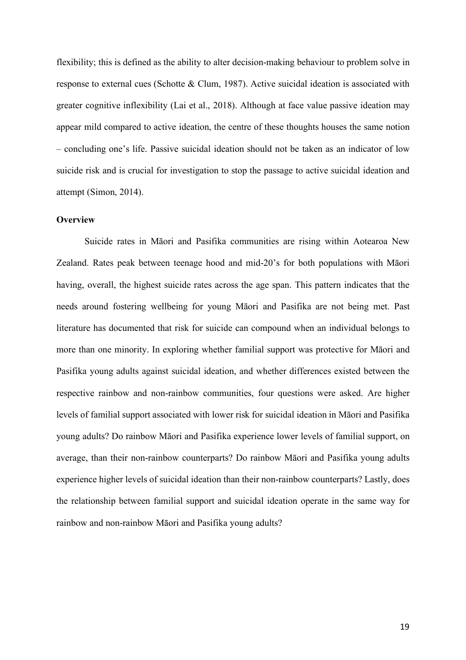flexibility; this is defined as the ability to alter decision-making behaviour to problem solve in response to external cues (Schotte & Clum, 1987). Active suicidal ideation is associated with greater cognitive inflexibility (Lai et al., 2018). Although at face value passive ideation may appear mild compared to active ideation, the centre of these thoughts houses the same notion – concluding one's life. Passive suicidal ideation should not be taken as an indicator of low suicide risk and is crucial for investigation to stop the passage to active suicidal ideation and attempt (Simon, 2014).

## **Overview**

Suicide rates in Māori and Pasifika communities are rising within Aotearoa New Zealand. Rates peak between teenage hood and mid-20's for both populations with Māori having, overall, the highest suicide rates across the age span. This pattern indicates that the needs around fostering wellbeing for young Māori and Pasifika are not being met. Past literature has documented that risk for suicide can compound when an individual belongs to more than one minority. In exploring whether familial support was protective for Māori and Pasifika young adults against suicidal ideation, and whether differences existed between the respective rainbow and non-rainbow communities, four questions were asked. Are higher levels of familial support associated with lower risk for suicidal ideation in Māori and Pasifika young adults? Do rainbow Māori and Pasifika experience lower levels of familial support, on average, than their non-rainbow counterparts? Do rainbow Māori and Pasifika young adults experience higher levels of suicidal ideation than their non-rainbow counterparts? Lastly, does the relationship between familial support and suicidal ideation operate in the same way for rainbow and non-rainbow Māori and Pasifika young adults?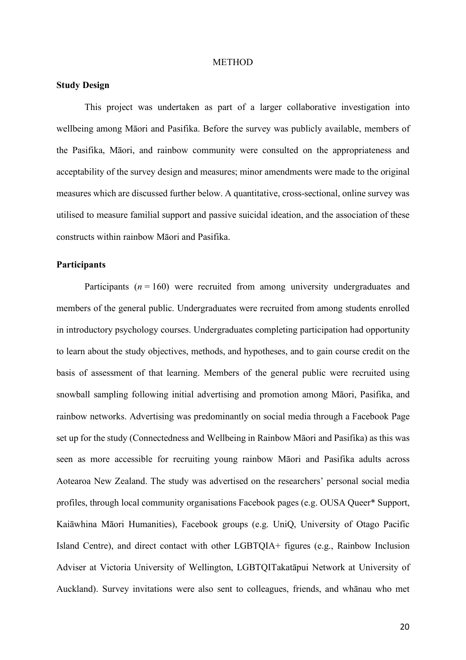#### **METHOD**

## **Study Design**

This project was undertaken as part of a larger collaborative investigation into wellbeing among Māori and Pasifika. Before the survey was publicly available, members of the Pasifika, Māori, and rainbow community were consulted on the appropriateness and acceptability of the survey design and measures; minor amendments were made to the original measures which are discussed further below. A quantitative, cross-sectional, online survey was utilised to measure familial support and passive suicidal ideation, and the association of these constructs within rainbow Māori and Pasifika.

## **Participants**

Participants  $(n = 160)$  were recruited from among university undergraduates and members of the general public. Undergraduates were recruited from among students enrolled in introductory psychology courses. Undergraduates completing participation had opportunity to learn about the study objectives, methods, and hypotheses, and to gain course credit on the basis of assessment of that learning. Members of the general public were recruited using snowball sampling following initial advertising and promotion among Māori, Pasifika, and rainbow networks. Advertising was predominantly on social media through a Facebook Page set up for the study (Connectedness and Wellbeing in Rainbow Māori and Pasifika) as this was seen as more accessible for recruiting young rainbow Māori and Pasifika adults across Aotearoa New Zealand. The study was advertised on the researchers' personal social media profiles, through local community organisations Facebook pages (e.g. OUSA Queer\* Support, Kaiāwhina Māori Humanities), Facebook groups (e.g. UniQ, University of Otago Pacific Island Centre), and direct contact with other LGBTQIA+ figures (e.g., Rainbow Inclusion Adviser at Victoria University of Wellington, LGBTQITakatāpui Network at University of Auckland). Survey invitations were also sent to colleagues, friends, and whānau who met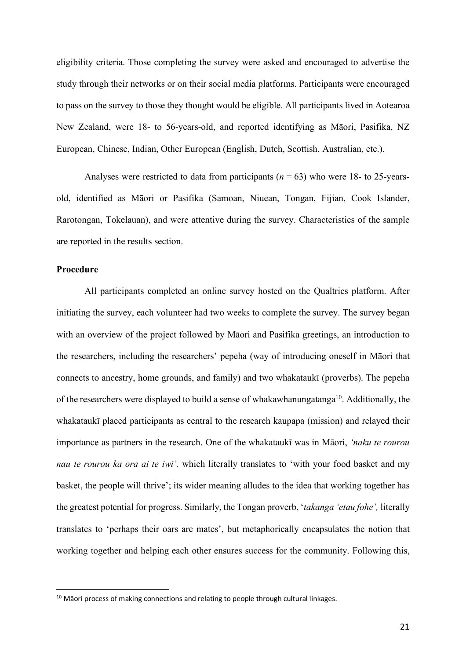eligibility criteria. Those completing the survey were asked and encouraged to advertise the study through their networks or on their social media platforms. Participants were encouraged to pass on the survey to those they thought would be eligible. All participants lived in Aotearoa New Zealand, were 18- to 56-years-old, and reported identifying as Māori, Pasifika, NZ European, Chinese, Indian, Other European (English, Dutch, Scottish, Australian, etc.).

Analyses were restricted to data from participants ( $n = 63$ ) who were 18- to 25-yearsold, identified as Māori or Pasifika (Samoan, Niuean, Tongan, Fijian, Cook Islander, Rarotongan, Tokelauan), and were attentive during the survey. Characteristics of the sample are reported in the results section.

## **Procedure**

All participants completed an online survey hosted on the Qualtrics platform. After initiating the survey, each volunteer had two weeks to complete the survey. The survey began with an overview of the project followed by Māori and Pasifika greetings, an introduction to the researchers, including the researchers' pepeha (way of introducing oneself in Māori that connects to ancestry, home grounds, and family) and two whakataukī (proverbs). The pepeha of the researchers were displayed to build a sense of whakawhanungatanga<sup>10</sup>. Additionally, the whakataukī placed participants as central to the research kaupapa (mission) and relayed their importance as partners in the research. One of the whakataukī was in Māori, *'naku te rourou nau te rourou ka ora ai te iwi',* which literally translates to 'with your food basket and my basket, the people will thrive'; its wider meaning alludes to the idea that working together has the greatest potential for progress. Similarly, the Tongan proverb, '*takanga 'etau fohe',* literally translates to 'perhaps their oars are mates', but metaphorically encapsulates the notion that working together and helping each other ensures success for the community. Following this,

 $10$  Māori process of making connections and relating to people through cultural linkages.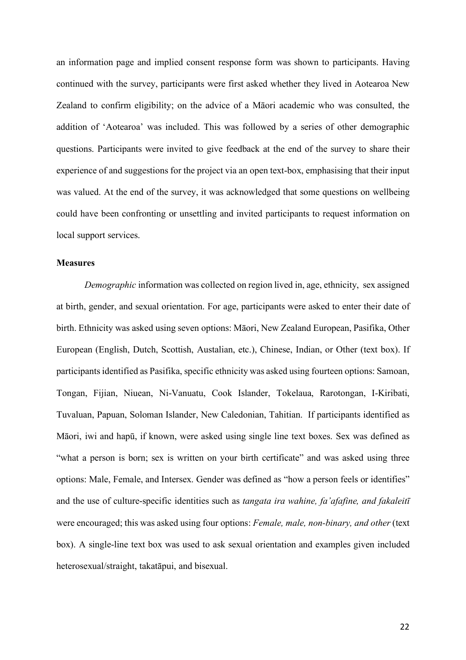an information page and implied consent response form was shown to participants. Having continued with the survey, participants were first asked whether they lived in Aotearoa New Zealand to confirm eligibility; on the advice of a Māori academic who was consulted, the addition of 'Aotearoa' was included. This was followed by a series of other demographic questions. Participants were invited to give feedback at the end of the survey to share their experience of and suggestions for the project via an open text-box, emphasising that their input was valued. At the end of the survey, it was acknowledged that some questions on wellbeing could have been confronting or unsettling and invited participants to request information on local support services.

## **Measures**

*Demographic* information was collected on region lived in, age, ethnicity, sex assigned at birth, gender, and sexual orientation. For age, participants were asked to enter their date of birth. Ethnicity was asked using seven options: Māori, New Zealand European, Pasifika, Other European (English, Dutch, Scottish, Austalian, etc.), Chinese, Indian, or Other (text box). If participants identified as Pasifika, specific ethnicity was asked using fourteen options: Samoan, Tongan, Fijian, Niuean, Ni-Vanuatu, Cook Islander, Tokelaua, Rarotongan, I-Kiribati, Tuvaluan, Papuan, Soloman Islander, New Caledonian, Tahitian. If participants identified as Māori, iwi and hapū, if known, were asked using single line text boxes. Sex was defined as "what a person is born; sex is written on your birth certificate" and was asked using three options: Male, Female, and Intersex. Gender was defined as "how a person feels or identifies" and the use of culture-specific identities such as *tangata ira wahine, fa'afafine, and fakaleitī* were encouraged; this was asked using four options: *Female, male, non-binary, and other* (text box). A single-line text box was used to ask sexual orientation and examples given included heterosexual/straight, takatāpui, and bisexual.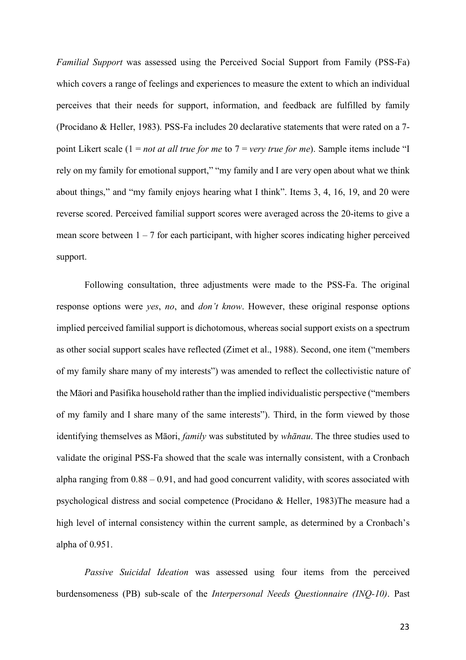*Familial Support* was assessed using the Perceived Social Support from Family (PSS-Fa) which covers a range of feelings and experiences to measure the extent to which an individual perceives that their needs for support, information, and feedback are fulfilled by family (Procidano & Heller, 1983). PSS-Fa includes 20 declarative statements that were rated on a 7 point Likert scale (1 = *not at all true for me* to 7 = *very true for me*). Sample items include "I rely on my family for emotional support," "my family and I are very open about what we think about things," and "my family enjoys hearing what I think". Items 3, 4, 16, 19, and 20 were reverse scored. Perceived familial support scores were averaged across the 20-items to give a mean score between  $1 - 7$  for each participant, with higher scores indicating higher perceived support.

Following consultation, three adjustments were made to the PSS-Fa. The original response options were *yes*, *no*, and *don't know*. However, these original response options implied perceived familial support is dichotomous, whereas social support exists on a spectrum as other social support scales have reflected (Zimet et al., 1988). Second, one item ("members of my family share many of my interests") was amended to reflect the collectivistic nature of the Māori and Pasifika household rather than the implied individualistic perspective ("members of my family and I share many of the same interests"). Third, in the form viewed by those identifying themselves as Māori, *family* was substituted by *whānau*. The three studies used to validate the original PSS-Fa showed that the scale was internally consistent, with a Cronbach alpha ranging from 0.88 – 0.91, and had good concurrent validity, with scores associated with psychological distress and social competence (Procidano & Heller, 1983)The measure had a high level of internal consistency within the current sample, as determined by a Cronbach's alpha of 0.951.

*Passive Suicidal Ideation* was assessed using four items from the perceived burdensomeness (PB) sub-scale of the *Interpersonal Needs Questionnaire (INQ-10)*. Past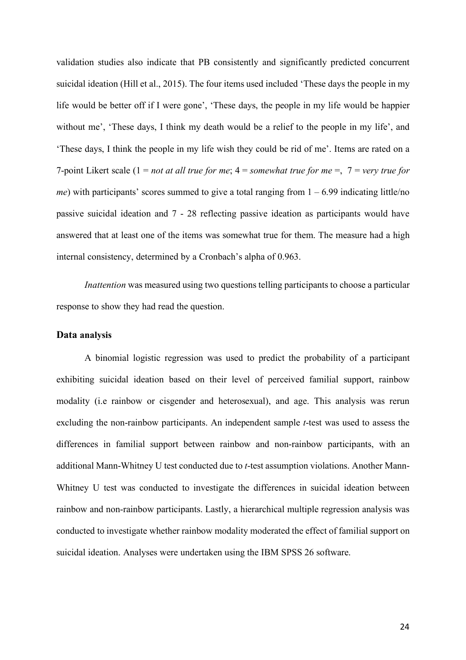validation studies also indicate that PB consistently and significantly predicted concurrent suicidal ideation (Hill et al., 2015). The four items used included 'These days the people in my life would be better off if I were gone', 'These days, the people in my life would be happier without me', 'These days, I think my death would be a relief to the people in my life', and 'These days, I think the people in my life wish they could be rid of me'. Items are rated on a 7-point Likert scale (1 = *not at all true for me*; 4 = *somewhat true for me* =, 7 = *very true for me*) with participants' scores summed to give a total ranging from  $1 - 6.99$  indicating little/no passive suicidal ideation and 7 - 28 reflecting passive ideation as participants would have answered that at least one of the items was somewhat true for them. The measure had a high internal consistency, determined by a Cronbach's alpha of 0.963.

*Inattention* was measured using two questions telling participants to choose a particular response to show they had read the question.

## **Data analysis**

A binomial logistic regression was used to predict the probability of a participant exhibiting suicidal ideation based on their level of perceived familial support, rainbow modality (i.e rainbow or cisgender and heterosexual), and age. This analysis was rerun excluding the non-rainbow participants. An independent sample *t*-test was used to assess the differences in familial support between rainbow and non-rainbow participants, with an additional Mann-Whitney U test conducted due to *t*-test assumption violations. Another Mann-Whitney U test was conducted to investigate the differences in suicidal ideation between rainbow and non-rainbow participants. Lastly, a hierarchical multiple regression analysis was conducted to investigate whether rainbow modality moderated the effect of familial support on suicidal ideation. Analyses were undertaken using the IBM SPSS 26 software.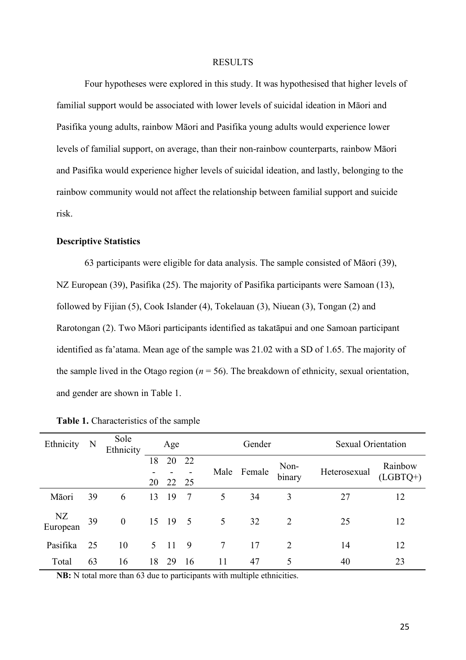#### RESULTS

Four hypotheses were explored in this study. It was hypothesised that higher levels of familial support would be associated with lower levels of suicidal ideation in Māori and Pasifika young adults, rainbow Māori and Pasifika young adults would experience lower levels of familial support, on average, than their non-rainbow counterparts, rainbow Māori and Pasifika would experience higher levels of suicidal ideation, and lastly, belonging to the rainbow community would not affect the relationship between familial support and suicide risk.

## **Descriptive Statistics**

63 participants were eligible for data analysis. The sample consisted of Māori (39), NZ European (39), Pasifika (25). The majority of Pasifika participants were Samoan (13), followed by Fijian (5), Cook Islander (4), Tokelauan (3), Niuean (3), Tongan (2) and Rarotongan (2). Two Māori participants identified as takatāpui and one Samoan participant identified as fa'atama. Mean age of the sample was 21.02 with a SD of 1.65. The majority of the sample lived in the Otago region  $(n = 56)$ . The breakdown of ethnicity, sexual orientation, and gender are shown in Table 1.

| Ethnicity      | N  | Sole<br>Ethnicity | Age      |             |    | Gender |        |                | <b>Sexual Orientation</b> |                       |
|----------------|----|-------------------|----------|-------------|----|--------|--------|----------------|---------------------------|-----------------------|
|                |    |                   | 18<br>20 | 20<br>22 25 | 22 | Male   | Female | Non-<br>binary | Heterosexual              | Rainbow<br>$(LGBTQ+)$ |
| Māori          | 39 | 6                 | 13       | -19         | -7 | 5      | 34     | 3              | 27                        | 12                    |
| NZ<br>European | 39 | $\boldsymbol{0}$  |          | 15 19 5     |    | 5      | 32     | $\overline{2}$ | 25                        | 12                    |
| Pasifika       | 25 | 10                | 5        | -11         | 9  | 7      | 17     | 2              | 14                        | 12                    |
| Total          | 63 | 16                | 18       | 29          | 16 | 11     | 47     | 5              | 40                        | 23                    |

| Table 1. Characteristics of the sample |  |  |  |  |  |  |
|----------------------------------------|--|--|--|--|--|--|
|----------------------------------------|--|--|--|--|--|--|

**NB:** N total more than 63 due to participants with multiple ethnicities.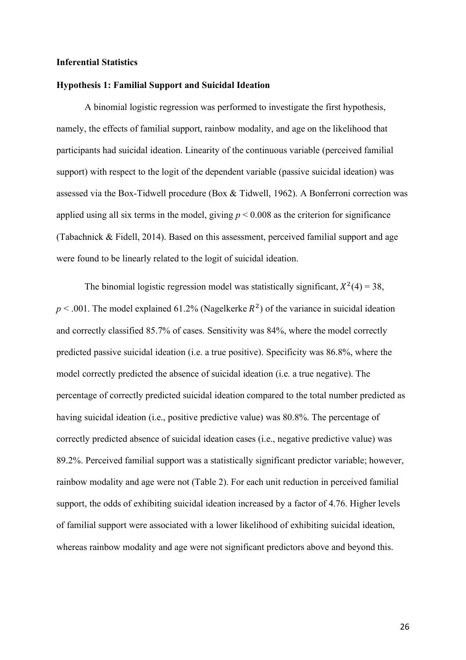## **Inferential Statistics**

## **Hypothesis 1: Familial Support and Suicidal Ideation**

A binomial logistic regression was performed to investigate the first hypothesis, namely, the effects of familial support, rainbow modality, and age on the likelihood that participants had suicidal ideation. Linearity of the continuous variable (perceived familial support) with respect to the logit of the dependent variable (passive suicidal ideation) was assessed via the Box-Tidwell procedure (Box & Tidwell, 1962). A Bonferroni correction was applied using all six terms in the model, giving  $p \le 0.008$  as the criterion for significance (Tabachnick & Fidell, 2014). Based on this assessment, perceived familial support and age were found to be linearly related to the logit of suicidal ideation.

The binomial logistic regression model was statistically significant,  $X^2(4) = 38$ ,  $p < .001$ . The model explained 61.2% (Nagelkerke  $R^2$ ) of the variance in suicidal ideation and correctly classified 85.7% of cases. Sensitivity was 84%, where the model correctly predicted passive suicidal ideation (i.e. a true positive). Specificity was 86.8%, where the model correctly predicted the absence of suicidal ideation (i.e. a true negative). The percentage of correctly predicted suicidal ideation compared to the total number predicted as having suicidal ideation (i.e., positive predictive value) was 80.8%. The percentage of correctly predicted absence of suicidal ideation cases (i.e., negative predictive value) was 89.2%. Perceived familial support was a statistically significant predictor variable; however, rainbow modality and age were not (Table 2). For each unit reduction in perceived familial support, the odds of exhibiting suicidal ideation increased by a factor of 4.76. Higher levels of familial support were associated with a lower likelihood of exhibiting suicidal ideation, whereas rainbow modality and age were not significant predictors above and beyond this.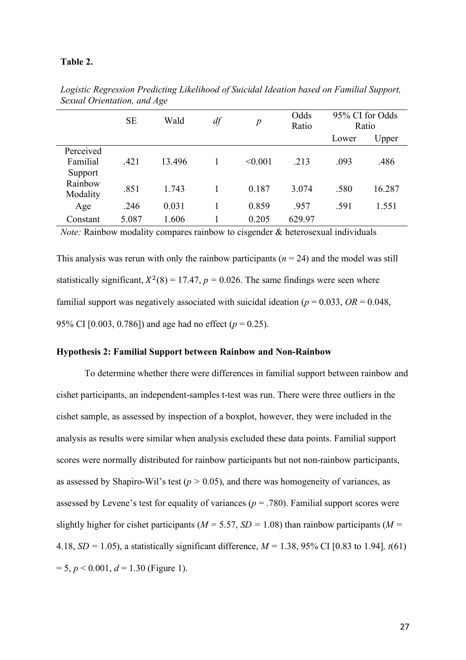## **Table 2.**

|                                  | <b>SE</b> | Wald   | df | $\boldsymbol{p}$ | Odds<br>Ratio | 95% CI for Odds<br>Ratio |        |
|----------------------------------|-----------|--------|----|------------------|---------------|--------------------------|--------|
|                                  |           |        |    |                  |               | Lower                    | Upper  |
| Perceived<br>Familial<br>Support | .421      | 13.496 |    | < 0.001          | .213          | .093                     | .486   |
| Rainbow<br>Modality              | .851      | 1.743  |    | 0.187            | 3.074         | .580                     | 16.287 |
| Age                              | .246      | 0.031  |    | 0.859            | .957          | .591                     | 1.551  |
| Constant                         | 5.087     | 1.606  |    | 0.205            | 629.97        |                          |        |

*Logistic Regression Predicting Likelihood of Suicidal Ideation based on Familial Support, Sexual Orientation, and Age*

*Note:* Rainbow modality compares rainbow to cisgender & heterosexual individuals

This analysis was rerun with only the rainbow participants  $(n = 24)$  and the model was still statistically significant,  $X^2(8) = 17.47$ ,  $p = 0.026$ . The same findings were seen where familial support was negatively associated with suicidal ideation ( $p = 0.033$ ,  $OR = 0.048$ , 95% CI [0.003, 0.786]) and age had no effect (*p* = 0.25).

## **Hypothesis 2: Familial Support between Rainbow and Non-Rainbow**

To determine whether there were differences in familial support between rainbow and cishet participants, an independent-samples t-test was run. There were three outliers in the cishet sample, as assessed by inspection of a boxplot, however, they were included in the analysis as results were similar when analysis excluded these data points. Familial support scores were normally distributed for rainbow participants but not non-rainbow participants, as assessed by Shapiro-Wil's test ( $p > 0.05$ ), and there was homogeneity of variances, as assessed by Levene's test for equality of variances ( $p = .780$ ). Familial support scores were slightly higher for cishet participants ( $M = 5.57$ ,  $SD = 1.08$ ) than rainbow participants ( $M =$ 4.18, *SD =* 1.05), a statistically significant difference, *M =* 1.38, 95% CI [0.83 to 1.94]*, t*(61)  $= 5, p < 0.001, d = 1.30$  (Figure 1).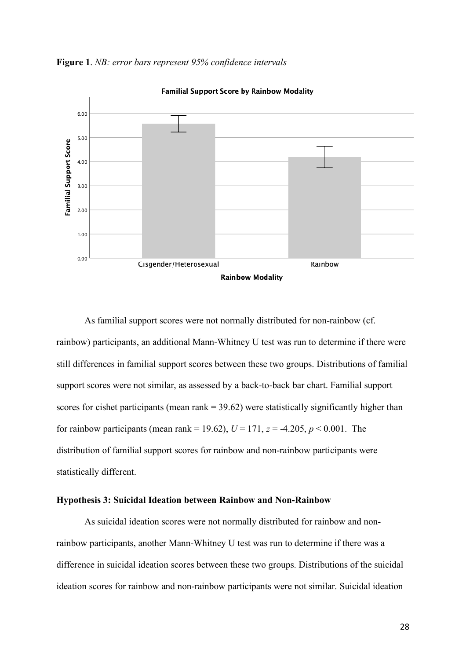

**Figure 1**. *NB: error bars represent 95% confidence intervals*

As familial support scores were not normally distributed for non-rainbow (cf. rainbow) participants, an additional Mann-Whitney U test was run to determine if there were still differences in familial support scores between these two groups. Distributions of familial support scores were not similar, as assessed by a back-to-back bar chart. Familial support scores for cishet participants (mean rank  $=$  39.62) were statistically significantly higher than for rainbow participants (mean rank = 19.62),  $U = 171$ ,  $z = -4.205$ ,  $p < 0.001$ . The distribution of familial support scores for rainbow and non-rainbow participants were statistically different.

### **Hypothesis 3: Suicidal Ideation between Rainbow and Non-Rainbow**

As suicidal ideation scores were not normally distributed for rainbow and nonrainbow participants, another Mann-Whitney U test was run to determine if there was a difference in suicidal ideation scores between these two groups. Distributions of the suicidal ideation scores for rainbow and non-rainbow participants were not similar. Suicidal ideation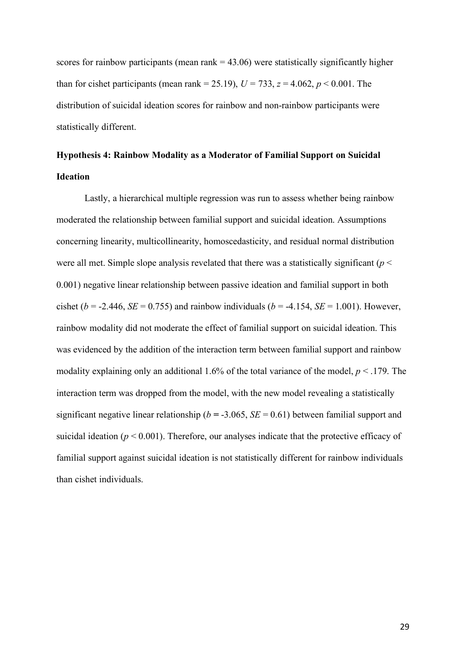scores for rainbow participants (mean rank  $= 43.06$ ) were statistically significantly higher than for cishet participants (mean rank = 25.19),  $U = 733$ ,  $z = 4.062$ ,  $p < 0.001$ . The distribution of suicidal ideation scores for rainbow and non-rainbow participants were statistically different.

## **Hypothesis 4: Rainbow Modality as a Moderator of Familial Support on Suicidal Ideation**

Lastly, a hierarchical multiple regression was run to assess whether being rainbow moderated the relationship between familial support and suicidal ideation. Assumptions concerning linearity, multicollinearity, homoscedasticity, and residual normal distribution were all met. Simple slope analysis revelated that there was a statistically significant (*p* < 0.001) negative linear relationship between passive ideation and familial support in both cishet ( $b = -2.446$ , *SE* = 0.755) and rainbow individuals ( $b = -4.154$ , *SE* = 1.001). However, rainbow modality did not moderate the effect of familial support on suicidal ideation. This was evidenced by the addition of the interaction term between familial support and rainbow modality explaining only an additional 1.6% of the total variance of the model, *p* < .179. The interaction term was dropped from the model, with the new model revealing a statistically significant negative linear relationship ( $b = -3.065$ ,  $SE = 0.61$ ) between familial support and suicidal ideation ( $p \le 0.001$ ). Therefore, our analyses indicate that the protective efficacy of familial support against suicidal ideation is not statistically different for rainbow individuals than cishet individuals.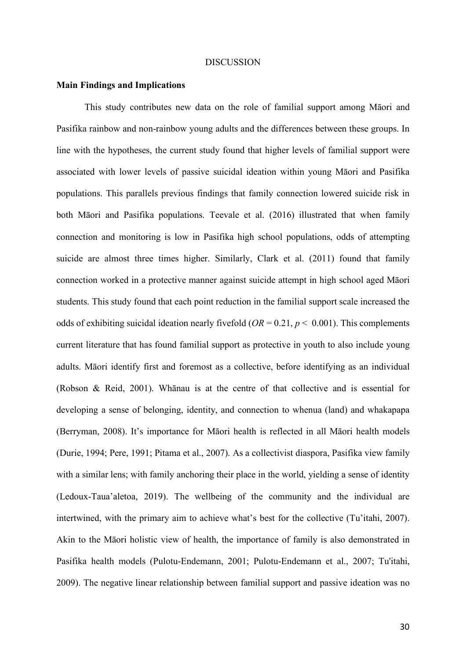#### **DISCUSSION**

#### **Main Findings and Implications**

This study contributes new data on the role of familial support among Māori and Pasifika rainbow and non-rainbow young adults and the differences between these groups. In line with the hypotheses, the current study found that higher levels of familial support were associated with lower levels of passive suicidal ideation within young Māori and Pasifika populations. This parallels previous findings that family connection lowered suicide risk in both Māori and Pasifika populations. Teevale et al. (2016) illustrated that when family connection and monitoring is low in Pasifika high school populations, odds of attempting suicide are almost three times higher. Similarly, Clark et al. (2011) found that family connection worked in a protective manner against suicide attempt in high school aged Māori students. This study found that each point reduction in the familial support scale increased the odds of exhibiting suicidal ideation nearly fivefold  $(OR = 0.21, p < 0.001)$ . This complements current literature that has found familial support as protective in youth to also include young adults. Māori identify first and foremost as a collective, before identifying as an individual (Robson & Reid, 2001). Whānau is at the centre of that collective and is essential for developing a sense of belonging, identity, and connection to whenua (land) and whakapapa (Berryman, 2008). It's importance for Māori health is reflected in all Māori health models (Durie, 1994; Pere, 1991; Pitama et al., 2007). As a collectivist diaspora, Pasifika view family with a similar lens; with family anchoring their place in the world, yielding a sense of identity (Ledoux-Taua'aletoa, 2019). The wellbeing of the community and the individual are intertwined, with the primary aim to achieve what's best for the collective (Tu'itahi, 2007). Akin to the Māori holistic view of health, the importance of family is also demonstrated in Pasifika health models (Pulotu-Endemann, 2001; Pulotu-Endemann et al., 2007; Tu'itahi, 2009). The negative linear relationship between familial support and passive ideation was no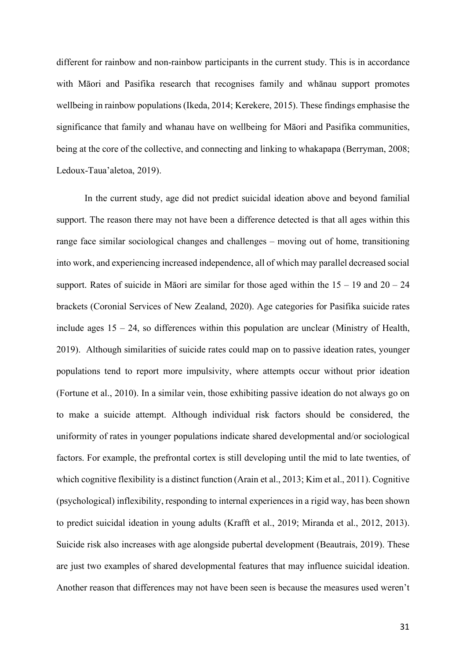different for rainbow and non-rainbow participants in the current study. This is in accordance with Māori and Pasifika research that recognises family and whānau support promotes wellbeing in rainbow populations(Ikeda, 2014; Kerekere, 2015). These findings emphasise the significance that family and whanau have on wellbeing for Māori and Pasifika communities, being at the core of the collective, and connecting and linking to whakapapa (Berryman, 2008; Ledoux-Taua'aletoa, 2019).

In the current study, age did not predict suicidal ideation above and beyond familial support. The reason there may not have been a difference detected is that all ages within this range face similar sociological changes and challenges – moving out of home, transitioning into work, and experiencing increased independence, all of which may parallel decreased social support. Rates of suicide in Māori are similar for those aged within the  $15 - 19$  and  $20 - 24$ brackets (Coronial Services of New Zealand, 2020). Age categories for Pasifika suicide rates include ages  $15 - 24$ , so differences within this population are unclear (Ministry of Health, 2019). Although similarities of suicide rates could map on to passive ideation rates, younger populations tend to report more impulsivity, where attempts occur without prior ideation (Fortune et al., 2010). In a similar vein, those exhibiting passive ideation do not always go on to make a suicide attempt. Although individual risk factors should be considered, the uniformity of rates in younger populations indicate shared developmental and/or sociological factors. For example, the prefrontal cortex is still developing until the mid to late twenties, of which cognitive flexibility is a distinct function (Arain et al., 2013; Kim et al., 2011). Cognitive (psychological) inflexibility, responding to internal experiences in a rigid way, has been shown to predict suicidal ideation in young adults (Krafft et al., 2019; Miranda et al., 2012, 2013). Suicide risk also increases with age alongside pubertal development (Beautrais, 2019). These are just two examples of shared developmental features that may influence suicidal ideation. Another reason that differences may not have been seen is because the measures used weren't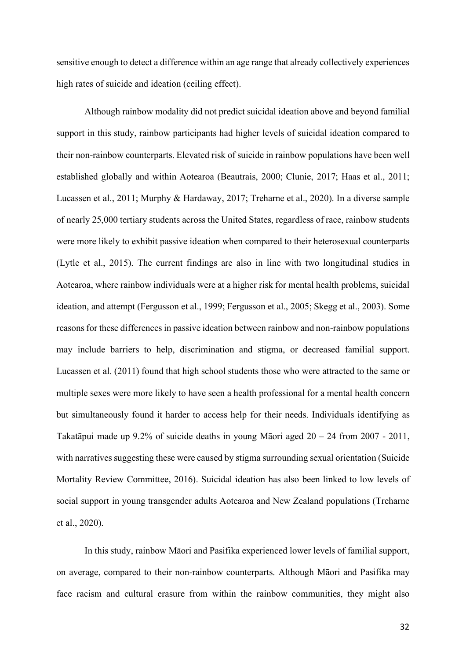sensitive enough to detect a difference within an age range that already collectively experiences high rates of suicide and ideation (ceiling effect).

Although rainbow modality did not predict suicidal ideation above and beyond familial support in this study, rainbow participants had higher levels of suicidal ideation compared to their non-rainbow counterparts. Elevated risk of suicide in rainbow populations have been well established globally and within Aotearoa (Beautrais, 2000; Clunie, 2017; Haas et al., 2011; Lucassen et al., 2011; Murphy & Hardaway, 2017; Treharne et al., 2020). In a diverse sample of nearly 25,000 tertiary students across the United States, regardless of race, rainbow students were more likely to exhibit passive ideation when compared to their heterosexual counterparts (Lytle et al., 2015). The current findings are also in line with two longitudinal studies in Aotearoa, where rainbow individuals were at a higher risk for mental health problems, suicidal ideation, and attempt (Fergusson et al., 1999; Fergusson et al., 2005; Skegg et al., 2003). Some reasons for these differences in passive ideation between rainbow and non-rainbow populations may include barriers to help, discrimination and stigma, or decreased familial support. Lucassen et al. (2011) found that high school students those who were attracted to the same or multiple sexes were more likely to have seen a health professional for a mental health concern but simultaneously found it harder to access help for their needs. Individuals identifying as Takatāpui made up 9.2% of suicide deaths in young Māori aged 20 – 24 from 2007 - 2011, with narratives suggesting these were caused by stigma surrounding sexual orientation (Suicide Mortality Review Committee, 2016). Suicidal ideation has also been linked to low levels of social support in young transgender adults Aotearoa and New Zealand populations (Treharne et al., 2020).

In this study, rainbow Māori and Pasifika experienced lower levels of familial support, on average, compared to their non-rainbow counterparts. Although Māori and Pasifika may face racism and cultural erasure from within the rainbow communities, they might also

32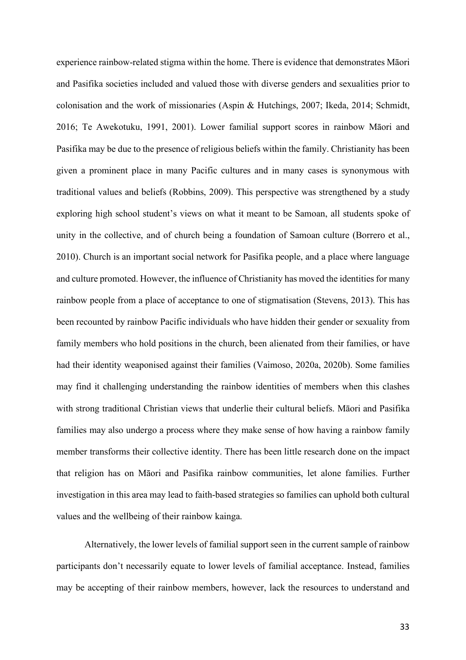experience rainbow-related stigma within the home. There is evidence that demonstrates Māori and Pasifika societies included and valued those with diverse genders and sexualities prior to colonisation and the work of missionaries (Aspin & Hutchings, 2007; Ikeda, 2014; Schmidt, 2016; Te Awekotuku, 1991, 2001). Lower familial support scores in rainbow Māori and Pasifika may be due to the presence of religious beliefs within the family. Christianity has been given a prominent place in many Pacific cultures and in many cases is synonymous with traditional values and beliefs (Robbins, 2009). This perspective was strengthened by a study exploring high school student's views on what it meant to be Samoan, all students spoke of unity in the collective, and of church being a foundation of Samoan culture (Borrero et al., 2010). Church is an important social network for Pasifika people, and a place where language and culture promoted. However, the influence of Christianity has moved the identities for many rainbow people from a place of acceptance to one of stigmatisation (Stevens, 2013). This has been recounted by rainbow Pacific individuals who have hidden their gender or sexuality from family members who hold positions in the church, been alienated from their families, or have had their identity weaponised against their families (Vaimoso, 2020a, 2020b). Some families may find it challenging understanding the rainbow identities of members when this clashes with strong traditional Christian views that underlie their cultural beliefs. Māori and Pasifika families may also undergo a process where they make sense of how having a rainbow family member transforms their collective identity. There has been little research done on the impact that religion has on Māori and Pasifika rainbow communities, let alone families. Further investigation in this area may lead to faith-based strategies so families can uphold both cultural values and the wellbeing of their rainbow kainga.

Alternatively, the lower levels of familial support seen in the current sample of rainbow participants don't necessarily equate to lower levels of familial acceptance. Instead, families may be accepting of their rainbow members, however, lack the resources to understand and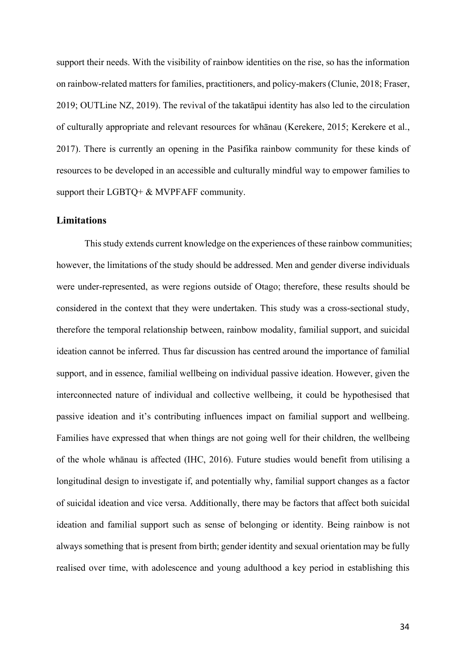support their needs. With the visibility of rainbow identities on the rise, so has the information on rainbow-related matters for families, practitioners, and policy-makers (Clunie, 2018; Fraser, 2019; OUTLine NZ, 2019). The revival of the takatāpui identity has also led to the circulation of culturally appropriate and relevant resources for whānau (Kerekere, 2015; Kerekere et al., 2017). There is currently an opening in the Pasifika rainbow community for these kinds of resources to be developed in an accessible and culturally mindful way to empower families to support their LGBTQ+ & MVPFAFF community.

## **Limitations**

This study extends current knowledge on the experiences of these rainbow communities; however, the limitations of the study should be addressed. Men and gender diverse individuals were under-represented, as were regions outside of Otago; therefore, these results should be considered in the context that they were undertaken. This study was a cross-sectional study, therefore the temporal relationship between, rainbow modality, familial support, and suicidal ideation cannot be inferred. Thus far discussion has centred around the importance of familial support, and in essence, familial wellbeing on individual passive ideation. However, given the interconnected nature of individual and collective wellbeing, it could be hypothesised that passive ideation and it's contributing influences impact on familial support and wellbeing. Families have expressed that when things are not going well for their children, the wellbeing of the whole whānau is affected (IHC, 2016). Future studies would benefit from utilising a longitudinal design to investigate if, and potentially why, familial support changes as a factor of suicidal ideation and vice versa. Additionally, there may be factors that affect both suicidal ideation and familial support such as sense of belonging or identity. Being rainbow is not always something that is present from birth; gender identity and sexual orientation may be fully realised over time, with adolescence and young adulthood a key period in establishing this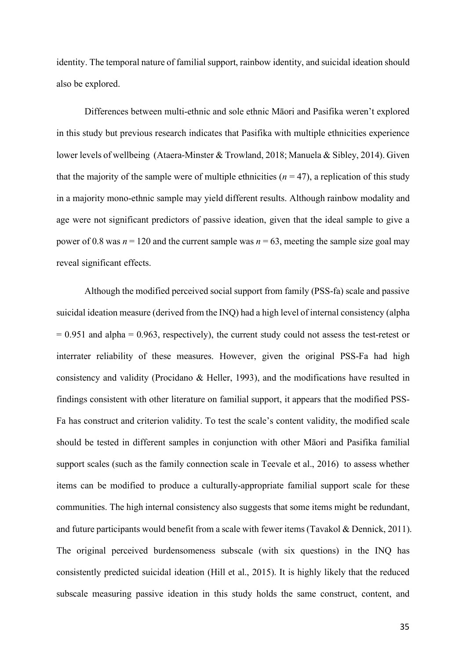identity. The temporal nature of familial support, rainbow identity, and suicidal ideation should also be explored.

Differences between multi-ethnic and sole ethnic Māori and Pasifika weren't explored in this study but previous research indicates that Pasifika with multiple ethnicities experience lower levels of wellbeing (Ataera-Minster & Trowland, 2018; Manuela & Sibley, 2014). Given that the majority of the sample were of multiple ethnicities  $(n = 47)$ , a replication of this study in a majority mono-ethnic sample may yield different results. Although rainbow modality and age were not significant predictors of passive ideation, given that the ideal sample to give a power of 0.8 was  $n = 120$  and the current sample was  $n = 63$ , meeting the sample size goal may reveal significant effects.

Although the modified perceived social support from family (PSS-fa) scale and passive suicidal ideation measure (derived from the INQ) had a high level of internal consistency (alpha  $= 0.951$  and alpha  $= 0.963$ , respectively), the current study could not assess the test-retest or interrater reliability of these measures. However, given the original PSS-Fa had high consistency and validity (Procidano & Heller, 1993), and the modifications have resulted in findings consistent with other literature on familial support, it appears that the modified PSS-Fa has construct and criterion validity. To test the scale's content validity, the modified scale should be tested in different samples in conjunction with other Māori and Pasifika familial support scales (such as the family connection scale in Teevale et al., 2016) to assess whether items can be modified to produce a culturally-appropriate familial support scale for these communities. The high internal consistency also suggests that some items might be redundant, and future participants would benefit from a scale with fewer items (Tavakol & Dennick, 2011). The original perceived burdensomeness subscale (with six questions) in the INQ has consistently predicted suicidal ideation (Hill et al., 2015). It is highly likely that the reduced subscale measuring passive ideation in this study holds the same construct, content, and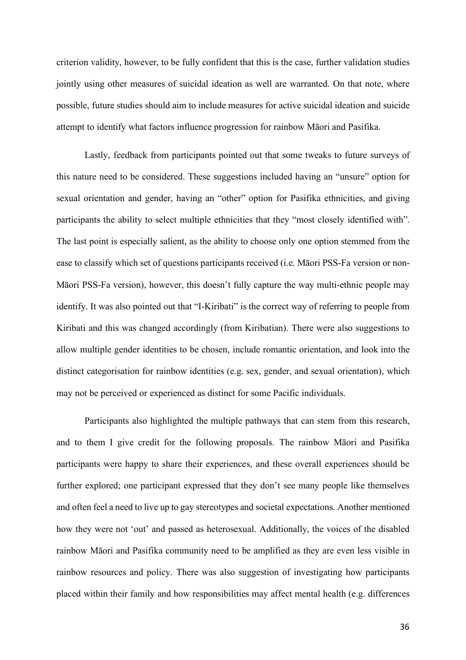criterion validity, however, to be fully confident that this is the case, further validation studies jointly using other measures of suicidal ideation as well are warranted. On that note, where possible, future studies should aim to include measures for active suicidal ideation and suicide attempt to identify what factors influence progression for rainbow Māori and Pasifika.

Lastly, feedback from participants pointed out that some tweaks to future surveys of this nature need to be considered. These suggestions included having an "unsure" option for sexual orientation and gender, having an "other" option for Pasifika ethnicities, and giving participants the ability to select multiple ethnicities that they "most closely identified with". The last point is especially salient, as the ability to choose only one option stemmed from the ease to classify which set of questions participants received (i.e. Māori PSS-Fa version or non-Māori PSS-Fa version), however, this doesn't fully capture the way multi-ethnic people may identify. It was also pointed out that "I-Kiribati" is the correct way of referring to people from Kiribati and this was changed accordingly (from Kiribatian). There were also suggestions to allow multiple gender identities to be chosen, include romantic orientation, and look into the distinct categorisation for rainbow identities (e.g. sex, gender, and sexual orientation), which may not be perceived or experienced as distinct for some Pacific individuals.

Participants also highlighted the multiple pathways that can stem from this research, and to them I give credit for the following proposals. The rainbow Māori and Pasifika participants were happy to share their experiences, and these overall experiences should be further explored; one participant expressed that they don't see many people like themselves and often feel a need to live up to gay stereotypes and societal expectations. Another mentioned how they were not 'out' and passed as heterosexual. Additionally, the voices of the disabled rainbow Māori and Pasifika community need to be amplified as they are even less visible in rainbow resources and policy. There was also suggestion of investigating how participants placed within their family and how responsibilities may affect mental health (e.g. differences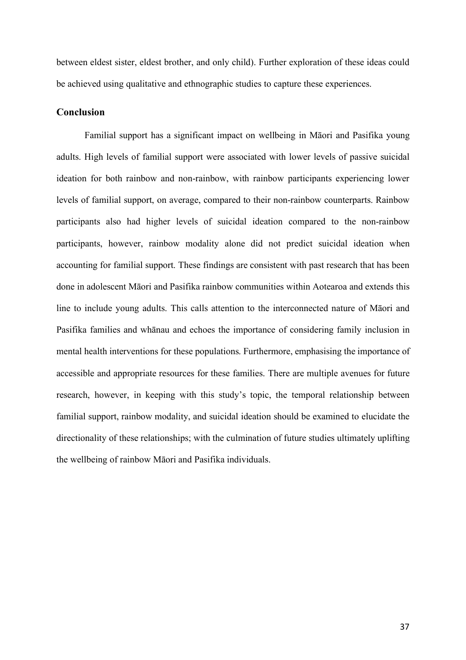between eldest sister, eldest brother, and only child). Further exploration of these ideas could be achieved using qualitative and ethnographic studies to capture these experiences.

## **Conclusion**

Familial support has a significant impact on wellbeing in Māori and Pasifika young adults. High levels of familial support were associated with lower levels of passive suicidal ideation for both rainbow and non-rainbow, with rainbow participants experiencing lower levels of familial support, on average, compared to their non-rainbow counterparts. Rainbow participants also had higher levels of suicidal ideation compared to the non-rainbow participants, however, rainbow modality alone did not predict suicidal ideation when accounting for familial support. These findings are consistent with past research that has been done in adolescent Māori and Pasifika rainbow communities within Aotearoa and extends this line to include young adults. This calls attention to the interconnected nature of Māori and Pasifika families and whānau and echoes the importance of considering family inclusion in mental health interventions for these populations. Furthermore, emphasising the importance of accessible and appropriate resources for these families. There are multiple avenues for future research, however, in keeping with this study's topic, the temporal relationship between familial support, rainbow modality, and suicidal ideation should be examined to elucidate the directionality of these relationships; with the culmination of future studies ultimately uplifting the wellbeing of rainbow Māori and Pasifika individuals.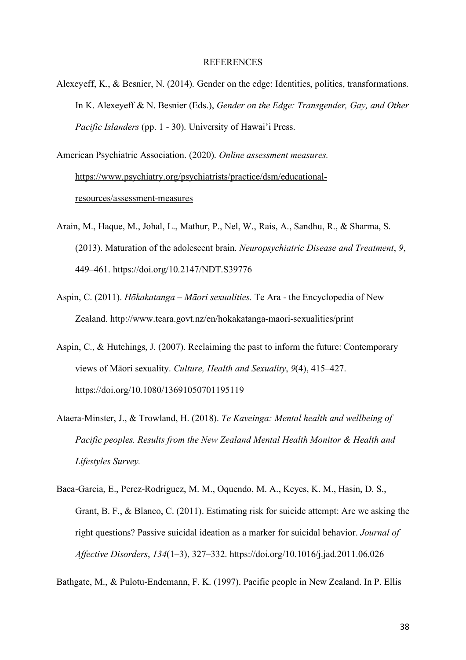#### REFERENCES

Alexeyeff, K., & Besnier, N. (2014). Gender on the edge: Identities, politics, transformations. In K. Alexeyeff & N. Besnier (Eds.), *Gender on the Edge: Transgender, Gay, and Other Pacific Islanders* (pp. 1 - 30). University of Hawai'i Press.

American Psychiatric Association. (2020). *Online assessment measures.*  https://www.psychiatry.org/psychiatrists/practice/dsm/educationalresources/assessment-measures

- Arain, M., Haque, M., Johal, L., Mathur, P., Nel, W., Rais, A., Sandhu, R., & Sharma, S. (2013). Maturation of the adolescent brain. *Neuropsychiatric Disease and Treatment*, *9*, 449–461. https://doi.org/10.2147/NDT.S39776
- Aspin, C. (2011). *Hōkakatanga – Māori sexualities.* Te Ara the Encyclopedia of New Zealand. http://www.teara.govt.nz/en/hokakatanga-maori-sexualities/print
- Aspin, C., & Hutchings, J. (2007). Reclaiming the past to inform the future: Contemporary views of Māori sexuality. *Culture, Health and Sexuality*, *9*(4), 415–427. https://doi.org/10.1080/13691050701195119
- Ataera-Minster, J., & Trowland, H. (2018). *Te Kaveinga: Mental health and wellbeing of Pacific peoples. Results from the New Zealand Mental Health Monitor & Health and Lifestyles Survey.*
- Baca-Garcia, E., Perez-Rodriguez, M. M., Oquendo, M. A., Keyes, K. M., Hasin, D. S., Grant, B. F., & Blanco, C. (2011). Estimating risk for suicide attempt: Are we asking the right questions? Passive suicidal ideation as a marker for suicidal behavior. *Journal of Affective Disorders*, *134*(1–3), 327–332. https://doi.org/10.1016/j.jad.2011.06.026

Bathgate, M., & Pulotu-Endemann, F. K. (1997). Pacific people in New Zealand. In P. Ellis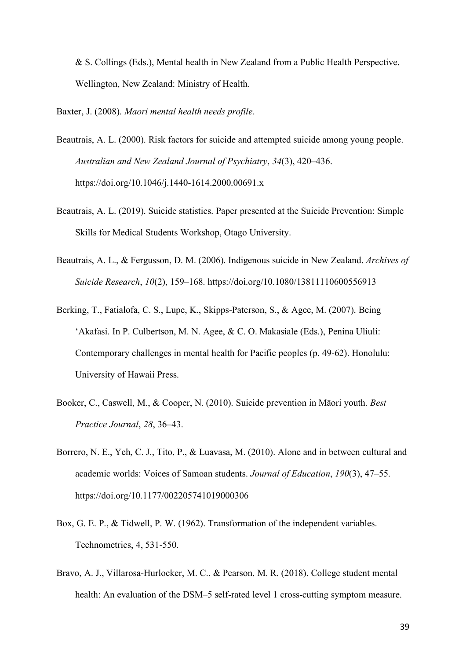& S. Collings (Eds.), Mental health in New Zealand from a Public Health Perspective. Wellington, New Zealand: Ministry of Health.

Baxter, J. (2008). *Maori mental health needs profile*.

- Beautrais, A. L. (2000). Risk factors for suicide and attempted suicide among young people. *Australian and New Zealand Journal of Psychiatry*, *34*(3), 420–436. https://doi.org/10.1046/j.1440-1614.2000.00691.x
- Beautrais, A. L. (2019). Suicide statistics. Paper presented at the Suicide Prevention: Simple Skills for Medical Students Workshop, Otago University.
- Beautrais, A. L., & Fergusson, D. M. (2006). Indigenous suicide in New Zealand. *Archives of Suicide Research*, *10*(2), 159–168. https://doi.org/10.1080/13811110600556913
- Berking, T., Fatialofa, C. S., Lupe, K., Skipps-Paterson, S., & Agee, M. (2007). Being 'Akafasi. In P. Culbertson, M. N. Agee, & C. O. Makasiale (Eds.), Penina Uliuli: Contemporary challenges in mental health for Pacific peoples (p. 49-62). Honolulu: University of Hawaii Press.
- Booker, C., Caswell, M., & Cooper, N. (2010). Suicide prevention in Māori youth. *Best Practice Journal*, *28*, 36–43.
- Borrero, N. E., Yeh, C. J., Tito, P., & Luavasa, M. (2010). Alone and in between cultural and academic worlds: Voices of Samoan students. *Journal of Education*, *190*(3), 47–55. https://doi.org/10.1177/002205741019000306
- Box, G. E. P., & Tidwell, P. W. (1962). Transformation of the independent variables. Technometrics, 4, 531-550.
- Bravo, A. J., Villarosa-Hurlocker, M. C., & Pearson, M. R. (2018). College student mental health: An evaluation of the DSM–5 self-rated level 1 cross-cutting symptom measure.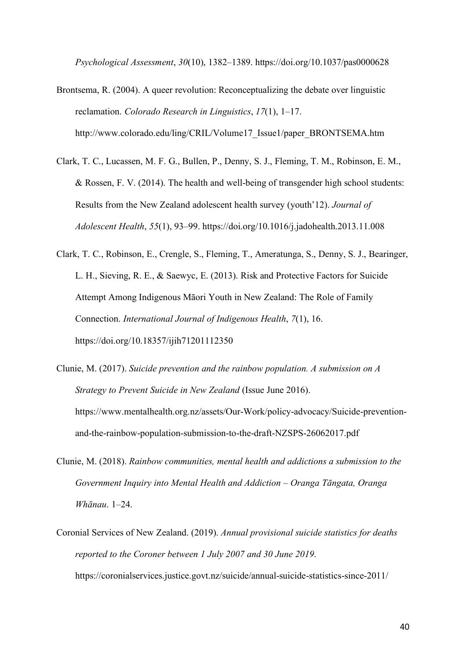*Psychological Assessment*, *30*(10), 1382–1389. https://doi.org/10.1037/pas0000628

- Brontsema, R. (2004). A queer revolution: Reconceptualizing the debate over linguistic reclamation. *Colorado Research in Linguistics*, *17*(1), 1–17. http://www.colorado.edu/ling/CRIL/Volume17\_Issue1/paper\_BRONTSEMA.htm
- Clark, T. C., Lucassen, M. F. G., Bullen, P., Denny, S. J., Fleming, T. M., Robinson, E. M., & Rossen, F. V. (2014). The health and well-being of transgender high school students: Results from the New Zealand adolescent health survey (youth'12). *Journal of Adolescent Health*, *55*(1), 93–99. https://doi.org/10.1016/j.jadohealth.2013.11.008
- Clark, T. C., Robinson, E., Crengle, S., Fleming, T., Ameratunga, S., Denny, S. J., Bearinger, L. H., Sieving, R. E., & Saewyc, E. (2013). Risk and Protective Factors for Suicide Attempt Among Indigenous Māori Youth in New Zealand: The Role of Family Connection. *International Journal of Indigenous Health*, *7*(1), 16. https://doi.org/10.18357/ijih71201112350
- Clunie, M. (2017). *Suicide prevention and the rainbow population. A submission on A Strategy to Prevent Suicide in New Zealand* (Issue June 2016). https://www.mentalhealth.org.nz/assets/Our-Work/policy-advocacy/Suicide-preventionand-the-rainbow-population-submission-to-the-draft-NZSPS-26062017.pdf
- Clunie, M. (2018). *Rainbow communities, mental health and addictions a submission to the Government Inquiry into Mental Health and Addiction – Oranga Tāngata, Oranga Whānau*. 1–24.
- Coronial Services of New Zealand. (2019). *Annual provisional suicide statistics for deaths reported to the Coroner between 1 July 2007 and 30 June 2019*. https://coronialservices.justice.govt.nz/suicide/annual-suicide-statistics-since-2011/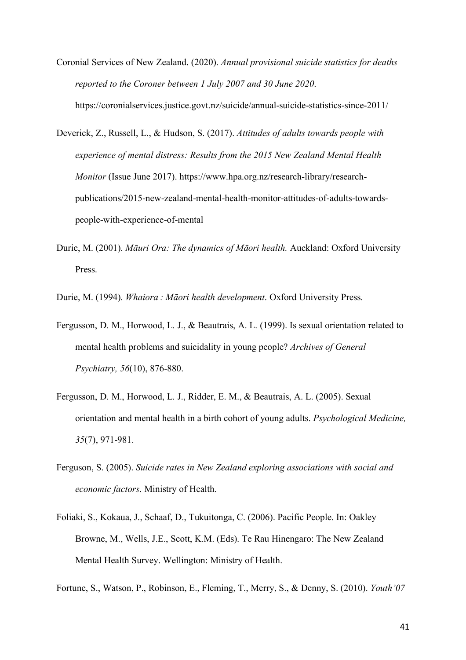- Coronial Services of New Zealand. (2020). *Annual provisional suicide statistics for deaths reported to the Coroner between 1 July 2007 and 30 June 2020*. https://coronialservices.justice.govt.nz/suicide/annual-suicide-statistics-since-2011/
- Deverick, Z., Russell, L., & Hudson, S. (2017). *Attitudes of adults towards people with experience of mental distress: Results from the 2015 New Zealand Mental Health Monitor* (Issue June 2017). https://www.hpa.org.nz/research-library/researchpublications/2015-new-zealand-mental-health-monitor-attitudes-of-adults-towardspeople-with-experience-of-mental
- Durie, M. (2001). *Māuri Ora: The dynamics of Māori health.* Auckland: Oxford University Press.
- Durie, M. (1994). *Whaiora : Māori health development*. Oxford University Press.
- Fergusson, D. M., Horwood, L. J., & Beautrais, A. L. (1999). Is sexual orientation related to mental health problems and suicidality in young people? *Archives of General Psychiatry, 56*(10), 876-880.
- Fergusson, D. M., Horwood, L. J., Ridder, E. M., & Beautrais, A. L. (2005). Sexual orientation and mental health in a birth cohort of young adults. *Psychological Medicine, 35*(7), 971-981.
- Ferguson, S. (2005). *Suicide rates in New Zealand exploring associations with social and economic factors*. Ministry of Health.
- Foliaki, S., Kokaua, J., Schaaf, D., Tukuitonga, C. (2006). Pacific People. In: Oakley Browne, M., Wells, J.E., Scott, K.M. (Eds). Te Rau Hinengaro: The New Zealand Mental Health Survey. Wellington: Ministry of Health.
- Fortune, S., Watson, P., Robinson, E., Fleming, T., Merry, S., & Denny, S. (2010). *Youth'07*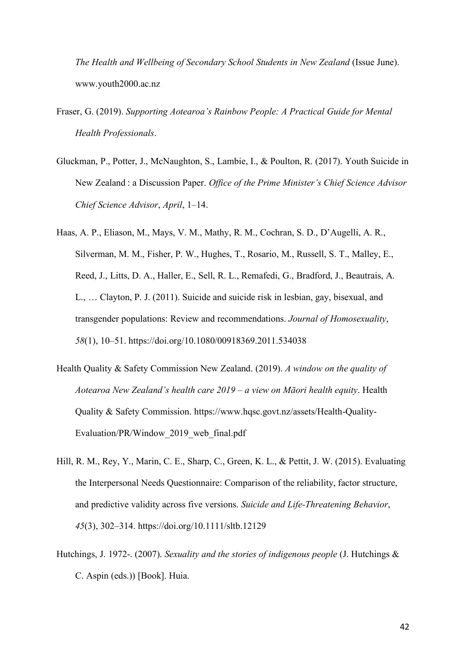*The Health and Wellbeing of Secondary School Students in New Zealand* (Issue June). www.youth2000.ac.nz

- Fraser, G. (2019). *Supporting Aotearoa's Rainbow People: A Practical Guide for Mental Health Professionals*.
- Gluckman, P., Potter, J., McNaughton, S., Lambie, I., & Poulton, R. (2017). Youth Suicide in New Zealand : a Discussion Paper. *Office of the Prime Minister's Chief Science Advisor Chief Science Advisor*, *April*, 1–14.
- Haas, A. P., Eliason, M., Mays, V. M., Mathy, R. M., Cochran, S. D., D'Augelli, A. R., Silverman, M. M., Fisher, P. W., Hughes, T., Rosario, M., Russell, S. T., Malley, E., Reed, J., Litts, D. A., Haller, E., Sell, R. L., Remafedi, G., Bradford, J., Beautrais, A. L., … Clayton, P. J. (2011). Suicide and suicide risk in lesbian, gay, bisexual, and transgender populations: Review and recommendations. *Journal of Homosexuality*, *58*(1), 10–51. https://doi.org/10.1080/00918369.2011.534038
- Health Quality & Safety Commission New Zealand. (2019). *A window on the quality of Aotearoa New Zealand's health care 2019 – a view on Māori health equity*. Health Quality & Safety Commission. https://www.hqsc.govt.nz/assets/Health-Quality-Evaluation/PR/Window\_2019\_web\_final.pdf
- Hill, R. M., Rey, Y., Marin, C. E., Sharp, C., Green, K. L., & Pettit, J. W. (2015). Evaluating the Interpersonal Needs Questionnaire: Comparison of the reliability, factor structure, and predictive validity across five versions. *Suicide and Life-Threatening Behavior*, *45*(3), 302–314. https://doi.org/10.1111/sltb.12129
- Hutchings, J. 1972-. (2007). *Sexuality and the stories of indigenous people* (J. Hutchings & C. Aspin (eds.)) [Book]. Huia.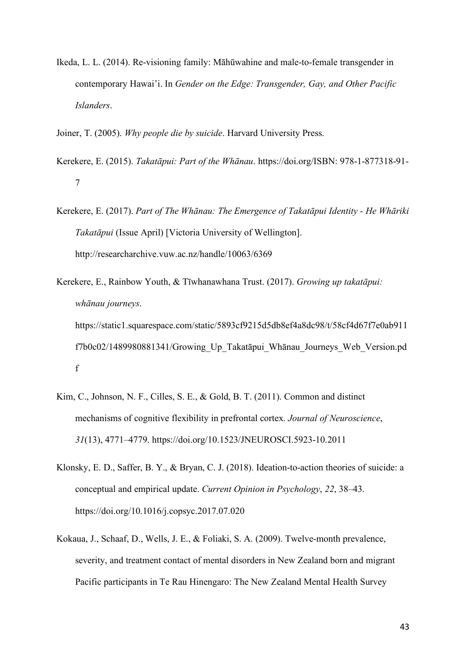- Ikeda, L. L. (2014). Re-visioning family: Māhūwahine and male-to-female transgender in contemporary Hawai'i. In *Gender on the Edge: Transgender, Gay, and Other Pacific Islanders*.
- Joiner, T. (2005). *Why people die by suicide*. Harvard University Press.
- Kerekere, E. (2015). *Takatāpui: Part of the Whānau*. https://doi.org/ISBN: 978-1-877318-91- 7
- Kerekere, E. (2017). *Part of The Whānau: The Emergence of Takatāpui Identity - He Whāriki Takatāpui* (Issue April) [Victoria University of Wellington]. http://researcharchive.vuw.ac.nz/handle/10063/6369
- Kerekere, E., Rainbow Youth, & Tīwhanawhana Trust. (2017). *Growing up takatāpui: whānau journeys*. https://static1.squarespace.com/static/5893cf9215d5db8ef4a8dc98/t/58cf4d67f7e0ab911 f7b0c02/1489980881341/Growing\_Up\_Takatāpui\_Whānau\_Journeys\_Web\_Version.pd f
- Kim, C., Johnson, N. F., Cilles, S. E., & Gold, B. T. (2011). Common and distinct mechanisms of cognitive flexibility in prefrontal cortex. *Journal of Neuroscience*, *31*(13), 4771–4779. https://doi.org/10.1523/JNEUROSCI.5923-10.2011
- Klonsky, E. D., Saffer, B. Y., & Bryan, C. J. (2018). Ideation-to-action theories of suicide: a conceptual and empirical update. *Current Opinion in Psychology*, *22*, 38–43. https://doi.org/10.1016/j.copsyc.2017.07.020
- Kokaua, J., Schaaf, D., Wells, J. E., & Foliaki, S. A. (2009). Twelve-month prevalence, severity, and treatment contact of mental disorders in New Zealand born and migrant Pacific participants in Te Rau Hinengaro: The New Zealand Mental Health Survey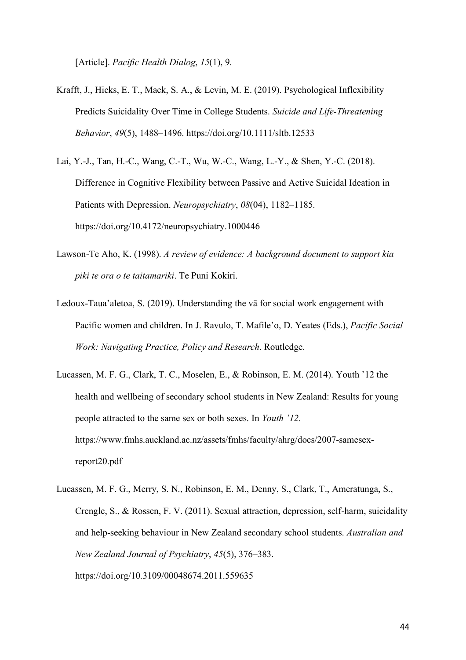[Article]. *Pacific Health Dialog*, *15*(1), 9.

- Krafft, J., Hicks, E. T., Mack, S. A., & Levin, M. E. (2019). Psychological Inflexibility Predicts Suicidality Over Time in College Students. *Suicide and Life-Threatening Behavior*, *49*(5), 1488–1496. https://doi.org/10.1111/sltb.12533
- Lai, Y.-J., Tan, H.-C., Wang, C.-T., Wu, W.-C., Wang, L.-Y., & Shen, Y.-C. (2018). Difference in Cognitive Flexibility between Passive and Active Suicidal Ideation in Patients with Depression. *Neuropsychiatry*, *08*(04), 1182–1185. https://doi.org/10.4172/neuropsychiatry.1000446
- Lawson-Te Aho, K. (1998). *A review of evidence: A background document to support kia piki te ora o te taitamariki*. Te Puni Kokiri.
- Ledoux-Taua'aletoa, S. (2019). Understanding the vā for social work engagement with Pacific women and children. In J. Ravulo, T. Mafile'o, D. Yeates (Eds.), *Pacific Social Work: Navigating Practice, Policy and Research*. Routledge.
- Lucassen, M. F. G., Clark, T. C., Moselen, E., & Robinson, E. M. (2014). Youth '12 the health and wellbeing of secondary school students in New Zealand: Results for young people attracted to the same sex or both sexes. In *Youth '12*. https://www.fmhs.auckland.ac.nz/assets/fmhs/faculty/ahrg/docs/2007-samesexreport20.pdf
- Lucassen, M. F. G., Merry, S. N., Robinson, E. M., Denny, S., Clark, T., Ameratunga, S., Crengle, S., & Rossen, F. V. (2011). Sexual attraction, depression, self-harm, suicidality and help-seeking behaviour in New Zealand secondary school students. *Australian and New Zealand Journal of Psychiatry*, *45*(5), 376–383. https://doi.org/10.3109/00048674.2011.559635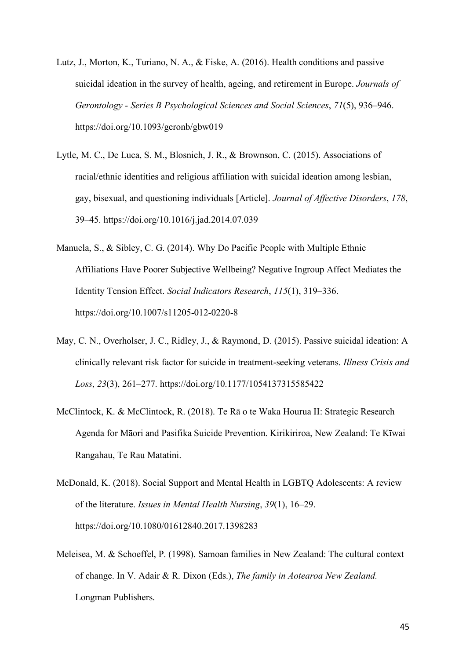- Lutz, J., Morton, K., Turiano, N. A., & Fiske, A. (2016). Health conditions and passive suicidal ideation in the survey of health, ageing, and retirement in Europe. *Journals of Gerontology - Series B Psychological Sciences and Social Sciences*, *71*(5), 936–946. https://doi.org/10.1093/geronb/gbw019
- Lytle, M. C., De Luca, S. M., Blosnich, J. R., & Brownson, C. (2015). Associations of racial/ethnic identities and religious affiliation with suicidal ideation among lesbian, gay, bisexual, and questioning individuals [Article]. *Journal of Affective Disorders*, *178*, 39–45. https://doi.org/10.1016/j.jad.2014.07.039
- Manuela, S., & Sibley, C. G. (2014). Why Do Pacific People with Multiple Ethnic Affiliations Have Poorer Subjective Wellbeing? Negative Ingroup Affect Mediates the Identity Tension Effect. *Social Indicators Research*, *115*(1), 319–336. https://doi.org/10.1007/s11205-012-0220-8
- May, C. N., Overholser, J. C., Ridley, J., & Raymond, D. (2015). Passive suicidal ideation: A clinically relevant risk factor for suicide in treatment-seeking veterans. *Illness Crisis and Loss*, *23*(3), 261–277. https://doi.org/10.1177/1054137315585422
- McClintock, K. & McClintock, R. (2018). Te Rā o te Waka Hourua II: Strategic Research Agenda for Māori and Pasifika Suicide Prevention. Kirikiriroa, New Zealand: Te Kīwai Rangahau, Te Rau Matatini.
- McDonald, K. (2018). Social Support and Mental Health in LGBTQ Adolescents: A review of the literature. *Issues in Mental Health Nursing*, *39*(1), 16–29. https://doi.org/10.1080/01612840.2017.1398283
- Meleisea, M. & Schoeffel, P. (1998). Samoan families in New Zealand: The cultural context of change. In V. Adair & R. Dixon (Eds.), *The family in Aotearoa New Zealand.* Longman Publishers.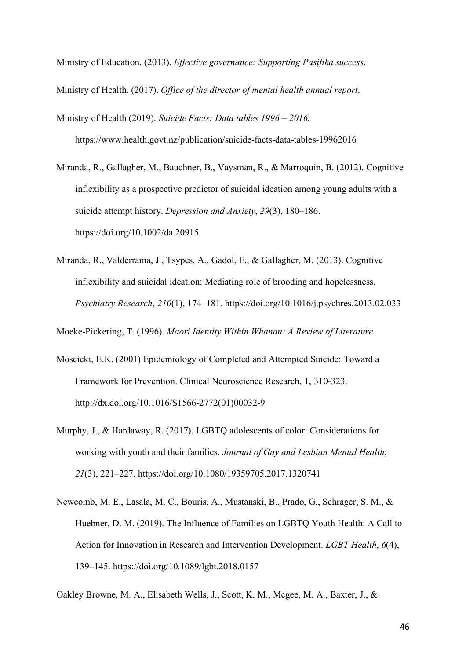Ministry of Education. (2013). *Effective governance: Supporting Pasifika success*.

Ministry of Health. (2017). *Office of the director of mental health annual report*.

Ministry of Health (2019). *Suicide Facts: Data tables 1996 – 2016.*  https://www.health.govt.nz/publication/suicide-facts-data-tables-19962016

Miranda, R., Gallagher, M., Bauchner, B., Vaysman, R., & Marroquín, B. (2012). Cognitive inflexibility as a prospective predictor of suicidal ideation among young adults with a suicide attempt history. *Depression and Anxiety*, *29*(3), 180–186. https://doi.org/10.1002/da.20915

Miranda, R., Valderrama, J., Tsypes, A., Gadol, E., & Gallagher, M. (2013). Cognitive inflexibility and suicidal ideation: Mediating role of brooding and hopelessness. *Psychiatry Research*, *210*(1), 174–181. https://doi.org/10.1016/j.psychres.2013.02.033

Moeke-Pickering, T. (1996). *Maori Identity Within Whanau: A Review of Literature.*

- Moscicki, E.K. (2001) Epidemiology of Completed and Attempted Suicide: Toward a Framework for Prevention. Clinical Neuroscience Research, 1, 310-323. http://dx.doi.org/10.1016/S1566-2772(01)00032-9
- Murphy, J., & Hardaway, R. (2017). LGBTQ adolescents of color: Considerations for working with youth and their families. *Journal of Gay and Lesbian Mental Health*, *21*(3), 221–227. https://doi.org/10.1080/19359705.2017.1320741
- Newcomb, M. E., Lasala, M. C., Bouris, A., Mustanski, B., Prado, G., Schrager, S. M., & Huebner, D. M. (2019). The Influence of Families on LGBTQ Youth Health: A Call to Action for Innovation in Research and Intervention Development. *LGBT Health*, *6*(4), 139–145. https://doi.org/10.1089/lgbt.2018.0157

Oakley Browne, M. A., Elisabeth Wells, J., Scott, K. M., Mcgee, M. A., Baxter, J., &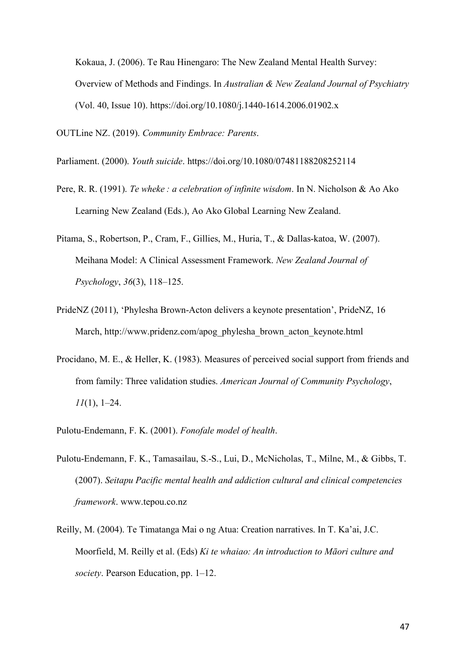Kokaua, J. (2006). Te Rau Hinengaro: The New Zealand Mental Health Survey: Overview of Methods and Findings. In *Australian & New Zealand Journal of Psychiatry* (Vol. 40, Issue 10). https://doi.org/10.1080/j.1440-1614.2006.01902.x

OUTLine NZ. (2019). *Community Embrace: Parents*.

- Parliament. (2000). *Youth suicide*. https://doi.org/10.1080/07481188208252114
- Pere, R. R. (1991). *Te wheke : a celebration of infinite wisdom*. In N. Nicholson & Ao Ako Learning New Zealand (Eds.), Ao Ako Global Learning New Zealand.
- Pitama, S., Robertson, P., Cram, F., Gillies, M., Huria, T., & Dallas-katoa, W. (2007). Meihana Model: A Clinical Assessment Framework. *New Zealand Journal of Psychology*, *36*(3), 118–125.
- PrideNZ (2011), 'Phylesha Brown-Acton delivers a keynote presentation', PrideNZ, 16 March, http://www.pridenz.com/apog\_phylesha\_brown\_acton\_keynote.html
- Procidano, M. E., & Heller, K. (1983). Measures of perceived social support from friends and from family: Three validation studies. *American Journal of Community Psychology*, *11*(1), 1–24.
- Pulotu-Endemann, F. K. (2001). *Fonofale model of health*.
- Pulotu-Endemann, F. K., Tamasailau, S.-S., Lui, D., McNicholas, T., Milne, M., & Gibbs, T. (2007). *Seitapu Pacific mental health and addiction cultural and clinical competencies framework*. www.tepou.co.nz
- Reilly, M. (2004). Te Timatanga Mai o ng Atua: Creation narratives. In T. Ka'ai, J.C. Moorfield, M. Reilly et al. (Eds) *Ki te whaiao: An introduction to Māori culture and society*. Pearson Education, pp. 1–12.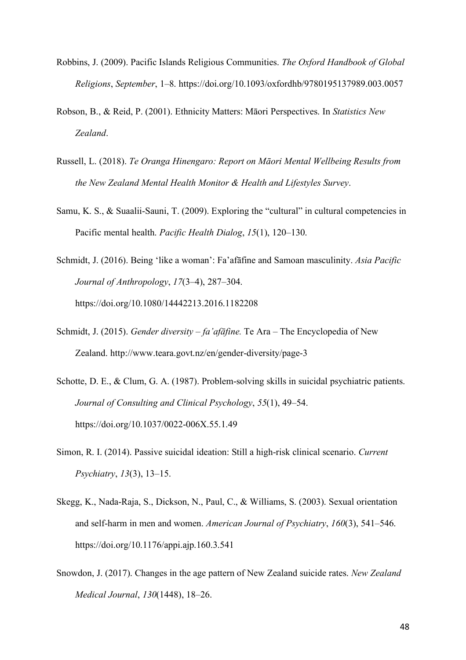- Robbins, J. (2009). Pacific Islands Religious Communities. *The Oxford Handbook of Global Religions*, *September*, 1–8. https://doi.org/10.1093/oxfordhb/9780195137989.003.0057
- Robson, B., & Reid, P. (2001). Ethnicity Matters: Māori Perspectives. In *Statistics New Zealand*.
- Russell, L. (2018). *Te Oranga Hinengaro: Report on Māori Mental Wellbeing Results from the New Zealand Mental Health Monitor & Health and Lifestyles Survey*.
- Samu, K. S., & Suaalii-Sauni, T. (2009). Exploring the "cultural" in cultural competencies in Pacific mental health. *Pacific Health Dialog*, *15*(1), 120–130.
- Schmidt, J. (2016). Being 'like a woman': Fa'afāfine and Samoan masculinity. *Asia Pacific Journal of Anthropology*, *17*(3–4), 287–304. https://doi.org/10.1080/14442213.2016.1182208
- Schmidt, J. (2015). *Gender diversity – fa'afāfine.* Te Ara The Encyclopedia of New Zealand. http://www.teara.govt.nz/en/gender-diversity/page-3
- Schotte, D. E., & Clum, G. A. (1987). Problem-solving skills in suicidal psychiatric patients. *Journal of Consulting and Clinical Psychology*, *55*(1), 49–54. https://doi.org/10.1037/0022-006X.55.1.49
- Simon, R. I. (2014). Passive suicidal ideation: Still a high-risk clinical scenario. *Current Psychiatry*, *13*(3), 13–15.
- Skegg, K., Nada-Raja, S., Dickson, N., Paul, C., & Williams, S. (2003). Sexual orientation and self-harm in men and women. *American Journal of Psychiatry*, *160*(3), 541–546. https://doi.org/10.1176/appi.ajp.160.3.541
- Snowdon, J. (2017). Changes in the age pattern of New Zealand suicide rates. *New Zealand Medical Journal*, *130*(1448), 18–26.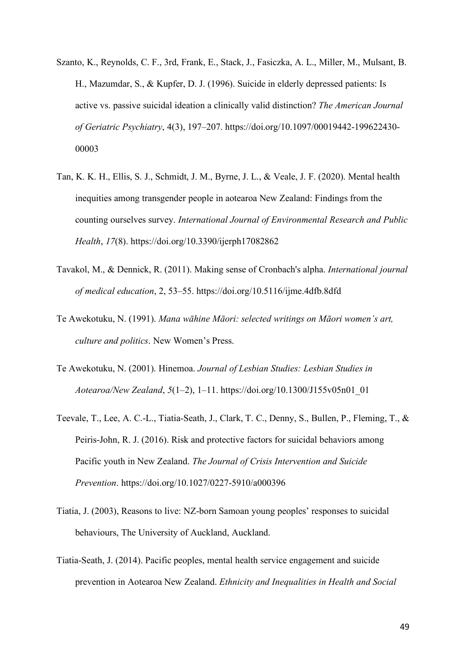- Szanto, K., Reynolds, C. F., 3rd, Frank, E., Stack, J., Fasiczka, A. L., Miller, M., Mulsant, B. H., Mazumdar, S., & Kupfer, D. J. (1996). Suicide in elderly depressed patients: Is active vs. passive suicidal ideation a clinically valid distinction? *The American Journal of Geriatric Psychiatry*, 4(3), 197–207. https://doi.org/10.1097/00019442-199622430- 00003
- Tan, K. K. H., Ellis, S. J., Schmidt, J. M., Byrne, J. L., & Veale, J. F. (2020). Mental health inequities among transgender people in aotearoa New Zealand: Findings from the counting ourselves survey. *International Journal of Environmental Research and Public Health*, *17*(8). https://doi.org/10.3390/ijerph17082862
- Tavakol, M., & Dennick, R. (2011). Making sense of Cronbach's alpha. *International journal of medical education*, 2, 53–55. https://doi.org/10.5116/ijme.4dfb.8dfd
- Te Awekotuku, N. (1991). *Mana wāhine Māori: selected writings on Māori women's art, culture and politics*. New Women's Press.
- Te Awekotuku, N. (2001). Hinemoa. *Journal of Lesbian Studies: Lesbian Studies in Aotearoa/New Zealand*, *5*(1–2), 1–11. https://doi.org/10.1300/J155v05n01\_01
- Teevale, T., Lee, A. C.-L., Tiatia-Seath, J., Clark, T. C., Denny, S., Bullen, P., Fleming, T., & Peiris-John, R. J. (2016). Risk and protective factors for suicidal behaviors among Pacific youth in New Zealand. *The Journal of Crisis Intervention and Suicide Prevention*. https://doi.org/10.1027/0227-5910/a000396
- Tiatia, J. (2003), Reasons to live: NZ-born Samoan young peoples' responses to suicidal behaviours, The University of Auckland, Auckland.
- Tiatia-Seath, J. (2014). Pacific peoples, mental health service engagement and suicide prevention in Aotearoa New Zealand. *Ethnicity and Inequalities in Health and Social*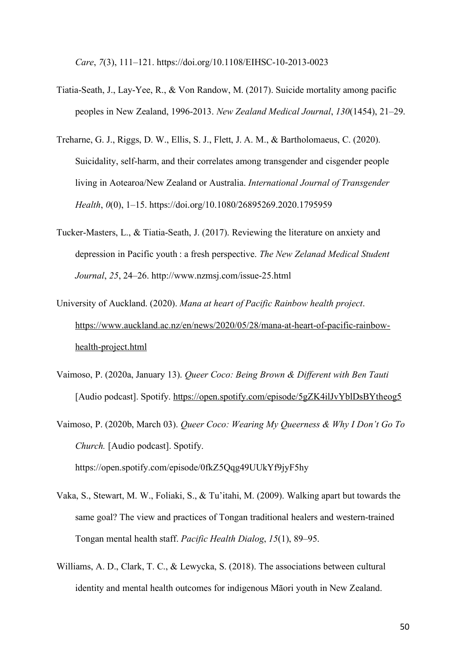*Care*, *7*(3), 111–121. https://doi.org/10.1108/EIHSC-10-2013-0023

- Tiatia-Seath, J., Lay-Yee, R., & Von Randow, M. (2017). Suicide mortality among pacific peoples in New Zealand, 1996-2013. *New Zealand Medical Journal*, *130*(1454), 21–29.
- Treharne, G. J., Riggs, D. W., Ellis, S. J., Flett, J. A. M., & Bartholomaeus, C. (2020). Suicidality, self-harm, and their correlates among transgender and cisgender people living in Aotearoa/New Zealand or Australia. *International Journal of Transgender Health*, *0*(0), 1–15. https://doi.org/10.1080/26895269.2020.1795959
- Tucker-Masters, L., & Tiatia-Seath, J. (2017). Reviewing the literature on anxiety and depression in Pacific youth : a fresh perspective. *The New Zelanad Medical Student Journal*, *25*, 24–26. http://www.nzmsj.com/issue-25.html
- University of Auckland. (2020). *Mana at heart of Pacific Rainbow health project*. https://www.auckland.ac.nz/en/news/2020/05/28/mana-at-heart-of-pacific-rainbowhealth-project.html
- Vaimoso, P. (2020a, January 13). *Queer Coco: Being Brown & Different with Ben Tauti* [Audio podcast]. Spotify. https://open.spotify.com/episode/5gZK4ilJvYblDsBYtheog5
- Vaimoso, P. (2020b, March 03). *Queer Coco: Wearing My Queerness & Why I Don't Go To Church.* [Audio podcast]. Spotify. https://open.spotify.com/episode/0fkZ5Qqg49UUkYf9jyF5hy
- Vaka, S., Stewart, M. W., Foliaki, S., & Tu'itahi, M. (2009). Walking apart but towards the same goal? The view and practices of Tongan traditional healers and western-trained Tongan mental health staff. *Pacific Health Dialog*, *15*(1), 89–95.
- Williams, A. D., Clark, T. C., & Lewycka, S. (2018). The associations between cultural identity and mental health outcomes for indigenous Māori youth in New Zealand.